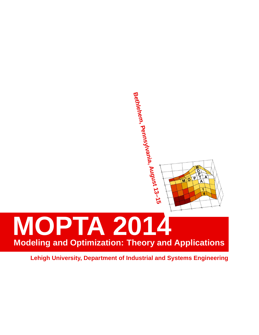<span id="page-0-0"></span>

**Lehigh University, Department of Industrial and Systems Engineering**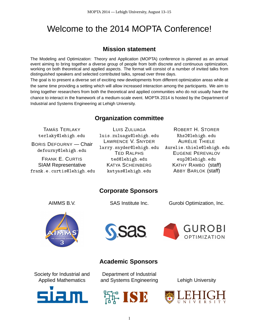# Welcome to the 2014 MOPTA Conference!

# **Mission statement**

The Modeling and Optimization: Theory and Application (MOPTA) conference is planned as an annual event aiming to bring together a diverse group of people from both discrete and continuous optimization, working on both theoretical and applied aspects. The format will consist of a number of invited talks from distinguished speakers and selected contributed talks, spread over three days.

The goal is to present a diverse set of exciting new developments from different optimization areas while at the same time providing a setting which will allow increased interaction among the participants. We aim to bring together researchers from both the theoretical and applied communities who do not usually have the chance to interact in the framework of a medium-scale event. MOPTA 2014 is hosted by the Department of Industrial and Systems Engineering at Lehigh University.

# **Organization committee**

TAMÁS TERLAKY terlaky@lehigh.edu

BORIS DEFOURNY — Chair defourny@lehigh.edu

FRANK E. CURTIS SIAM Representative frank.e.curtis@lehigh.edu

LUIS ZULUAGA luis.zuluaga@lehigh.edu LAWRENCE V. SNYDER larry.snyder@lehigh.edu TED RALPHS ted@lehigh.edu KATYA SCHEINBERG katyas@lehigh.edu

ROBERT H. STORER Rhs2@lehigh.edu AURÉLIE THIELE Aurelie.thiele@lehigh.edu EUGENE PEREVALOV eup2@lehigh.edu KATHY RAMBO (staff) ABBY BARLOK (staff)

**Corporate Sponsors**



AIMMS B.V. SAS Institute Inc. Gurobi Optimization, Inc.



Society for Industrial and Applied Mathematics







# **Academic Sponsors**

Department of Industrial and Systems Engineering Lehigh University



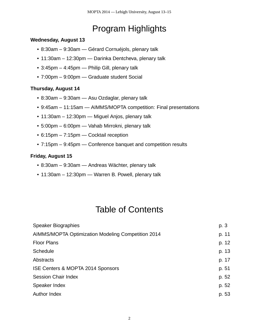# Program Highlights

## **Wednesday, August 13**

- 8:30am 9:30am Gérard Cornuéjols, plenary talk
- 11:30am 12:30pm Darinka Dentcheva, plenary talk
- 3:45pm 4:45pm Philip Gill, plenary talk
- 7:00pm 9:00pm Graduate student Social

# **Thursday, August 14**

- 8:30am 9:30am Asu Ozdaglar, plenary talk
- 9:45am 11:15am AIMMS/MOPTA competition: Final presentations
- 11:30am 12:30pm Miguel Anjos, plenary talk
- 5:00pm 6:00pm Vahab Mirrokni, plenary talk
- 6:15pm 7:15pm Cocktail reception
- 7:15pm 9:45pm Conference banquet and competition results

# **Friday, August 15**

- 8:30am 9:30am Andreas Wächter, plenary talk
- 11:30am 12:30pm Warren B. Powell, plenary talk

# Table of Contents

| <b>Speaker Biographies</b>                                | p. 3  |
|-----------------------------------------------------------|-------|
| <b>AIMMS/MOPTA Optimization Modeling Competition 2014</b> | p. 11 |
| <b>Floor Plans</b>                                        | p. 12 |
| <b>Schedule</b>                                           | p. 13 |
| Abstracts                                                 | p. 17 |
| ISE Centers & MOPTA 2014 Sponsors                         | p. 51 |
| <b>Session Chair Index</b>                                | p. 52 |
| Speaker Index                                             | p. 52 |
| Author Index                                              | p. 53 |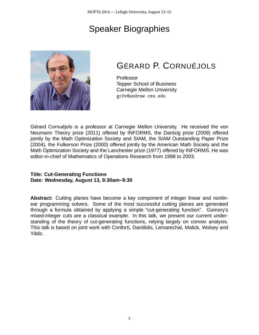# Speaker Biographies

<span id="page-3-0"></span>

# GÉRARD P. CORNUÉJOLS

Professor Tepper School of Business Carnegie Mellon University gc0v@andrew.cmu.edu

Gérard Cornuéjols is a professor at Carnegie Mellon University. He received the von Neumann Theory prize (2011) offered by INFORMS, the Dantzig prize (2009) offered jointly by the Math Optimization Society and SIAM, the SIAM Outstanding Paper Prize (2004), the Fulkerson Prize (2000) offered jointly by the American Math Society and the Math Optimization Society and the Lanchester prize (1977) offered by INFORMS. He was editor-in-chief of Mathematics of Operations Research from 1998 to 2003.

### **Title: Cut-Generating Functions Date: Wednesday, August 13, 8:30am–9:30**

**Abstract:** Cutting planes have become a key component of integer linear and nonlinear programming solvers. Some of the most successful cutting planes are generated through a formula obtained by applying a simple "cut-generating function". Gomory's mixed-integer cuts are a classical example. In this talk, we present our current understanding of the theory of cut-generating functions, relying largely on convex analysis. This talk is based on joint work with Conforti, Daniilidis, Lemarechal, Malick, Wolsey and Yildiz.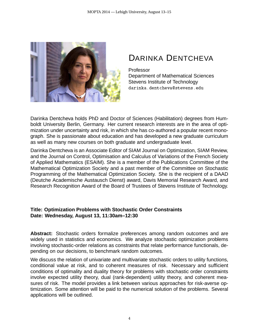<span id="page-4-0"></span>

# DARINKA DENTCHEVA

Professor

Department of Mathematical Sciences Stevens Institute of Technology

Darinka Dentcheva holds PhD and Doctor of Sciences (Habilitation) degrees from Humboldt University Berlin, Germany. Her current research interests are in the area of optimization under uncertainty and risk, in which she has co-authored a popular recent monograph. She is passionate about education and has developed a new graduate curriculum as well as many new courses on both graduate and undergraduate level.

Darinka Dentcheva is an Associate Editor of SIAM Journal on Optimization, SIAM Review, and the Journal on Control, Optimisation and Calculus of Variations of the French Society of Applied Mathematics (ESAIM). She is a member of the Publications Committee of the Mathematical Optimization Society and a past member of the Committee on Stochastic Programming of the Mathematical Optimization Society. She is the recipient of a DAAD (Deutche Academische Austausch Dienst) award, Davis Memorial Research Award, and Research Recognition Award of the Board of Trustees of Stevens Institute of Technology.

# **Title: Optimization Problems with Stochastic Order Constraints Date: Wednesday, August 13, 11:30am–12:30**

**Abstract:** Stochastic orders formalize preferences among random outcomes and are widely used in statistics and economics. We analyze stochastic optimization problems involving stochastic-order relations as constraints that relate performance functionals, depending on our decisions, to benchmark random outcomes.

We discuss the relation of univariate and multivariate stochastic orders to utility functions, conditional value at risk, and to coherent measures of risk. Necessary and sufficient conditions of optimality and duality theory for problems with stochastic order constraints involve expected utility theory, dual (rank-dependent) utility theory, and coherent measures of risk. The model provides a link between various approaches for risk-averse optimization. Some attention will be paid to the numerical solution of the problems. Several applications will be outlined.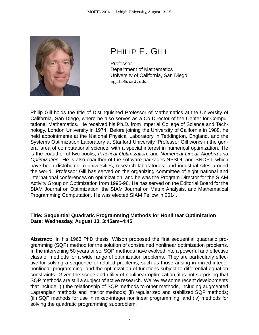<span id="page-5-0"></span>

# PHILIP F. GILL

Professor Department of Mathematics University of California, San Diego pgill@ucsd.edu

Philip Gill holds the title of Distinguished Professor of Mathematics at the University of California, San Diego, where he also serves as a Co-Director of the Center for Computational Mathematics. He received his Ph.D. from Imperial College of Science and Technology, London University in 1974. Before joining the University of California in 1988, he held appointments at the National Physical Laboratory in Teddington, England, and the Systems Optimization Laboratory at Stanford University. Professor Gill works in the general area of computational science, with a special interest in numerical optimization. He is the coauthor of two books, Practical Optimization, and Numerical Linear Algebra and Optimization. He is also coauthor of the software packages NPSOL and SNOPT, which have been distributed to universities, research laboratories, and industrial sites around the world. Professor Gill has served on the organizing committee of eight national and international conferences on optimization, and he was the Program Director for the SIAM Activity Group on Optimization from 1995-98. He has served on the Editorial Board for the SIAM Journal on Optimization, the SIAM Journal on Matrix Analysis, and Mathematical Programming Computation. He was elected SIAM Fellow in 2014.

# **Title: Sequential Quadratic Programming Methods for Nonlinear Optimization Date: Wednesday, August 13, 3:45am–4:45**

**Abstract:** In his 1963 PhD thesis, Wilson proposed the first sequential quadratic programming (SQP) method for the solution of constrained nonlinear optimization problems. In the intervening 50 years or so, SQP methods have evolved into a powerful and effective class of methods for a wide range of optimization problems. They are particularly effective for solving a sequence of related problems, such as those arising in mixed-integer nonlinear programming, and the optimization of functions subject to differential equation constraints. Given the scope and utility of nonlinear optimization, it is not surprising that SQP methods are still a subject of active research. We review some recent developments that include: (i) the relationship of SQP methods to other methods, including augmented Lagrangian methods and interior methods; (ii) regularized and stabilized SQP methods; (iii) SQP methods for use in mixed-integer nonlinear programming; and (iv) methods for solving the quadratic programming subproblem.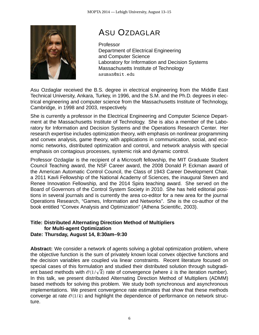<span id="page-6-0"></span>

# ASU OZDAGLAR

Professor Department of Electrical Engineering and Computer Science Laboratory for Information and Decision Systems Massachusetts Institute of Technology asuman@mit.edu

Asu Ozdaglar received the B.S. degree in electrical engineering from the Middle East Technical University, Ankara, Turkey, in 1996, and the S.M. and the Ph.D. degrees in electrical engineering and computer science from the Massachusetts Institute of Technology, Cambridge, in 1998 and 2003, respectively.

She is currently a professor in the Electrical Engineering and Computer Science Department at the Massachusetts Institute of Technology. She is also a member of the Laboratory for Information and Decision Systems and the Operations Research Center. Her research expertise includes optimization theory, with emphasis on nonlinear programming and convex analysis, game theory, with applications in communication, social, and economic networks, distributed optimization and control, and network analysis with special emphasis on contagious processes, systemic risk and dynamic control.

Professor Ozdaglar is the recipient of a Microsoft fellowship, the MIT Graduate Student Council Teaching award, the NSF Career award, the 2008 Donald P. Eckman award of the American Automatic Control Council, the Class of 1943 Career Development Chair, a 2011 Kavli Fellowship of the National Academy of Sciences, the inaugural Steven and Renee Innovation Fellowship, and the 2014 Spira teaching award. She served on the Board of Governors of the Control System Society in 2010. She has held editorial positions in several journals and is currently the area co-editor for a new area for the journal Operations Research, "Games, Information and Networks". She is the co-author of the book entitled "Convex Analysis and Optimization" (Athena Scientific, 2003).

### **Title: Distributed Alternating Direction Method of Multipliers for Multi-agent Optimization Date: Thursday, August 14, 8:30am–9:30**

**Abstract:** We consider a network of agents solving a global optimization problem, where the objective function is the sum of privately known local convex objective functions and the decision variables are coupled via linear constraints. Recent literature focused on special cases of this formulation and studied their distributed solution through subgradient based methods with  $\mathscr{O}(1/\sqrt{k})$  rate of convergence (where *k* is the iteration number). In this talk, we present distributed Alternating Direction Method of Multipliers (ADMM) based methods for solving this problem. We study both synchronous and asynchronous implementations. We present convergence rate estimates that show that these methods converge at rate  $\mathcal{O}(1/k)$  and highlight the dependence of performance on network structure.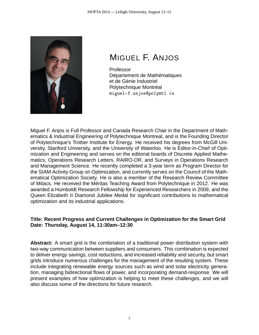<span id="page-7-0"></span>

# MIGUEL F. ANJOS

Professor Département de Mathématiques et de Génie Industriel Polytechnique Montréal miguel-f.anjos@polymtl.ca

Miguel F. Anjos is Full Professor and Canada Research Chair in the Department of Mathematics & Industrial Engineering of Polytechnique Montreal, and is the Founding Director of Polytechnique's Trottier Institute for Energy. He received his degrees from McGill University, Stanford University, and the University of Waterloo. He is Editor-in-Chief of Optimization and Engineering and serves on the editorial boards of Discrete Applied Mathematics, Operations Research Letters, RAIRO-OR, and Surveys in Operations Research and Management Science. He recently completed a 3-year term as Program Director for the SIAM Activity Group on Optimization, and currently serves on the Council of the Mathematical Optimization Society. He is also a member of the Research Review Committee of Mitacs. He received the Méritas Teaching Award from Polytechnique in 2012. He was awarded a Humboldt Research Fellowship for Experienced Researchers in 2009, and the Queen Elizabeth II Diamond Jubilee Medal for significant contributions to mathematical optimization and its industrial applications.

# **Title: Recent Progress and Current Challenges in Optimization for the Smart Grid Date: Thursday, August 14, 11:30am–12:30**

**Abstract:** A smart grid is the combination of a traditional power distribution system with two-way communication between suppliers and consumers. This combination is expected to deliver energy savings, cost reductions, and increased reliability and security, but smart grids introduce numerous challenges for the management of the resulting system. These include integrating renewable energy sources such as wind and solar electricity generation, managing bidirectional flows of power, and incorporating demand-response. We will present examples of how optimization is helping to meet these challenges, and we will also discuss some of the directions for future research.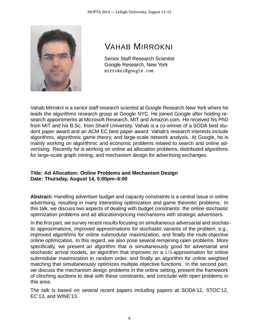<span id="page-8-0"></span>

# VAHAB MIRROKNI

Senior Staff Research Scientist Google Research, New York [mirroknigoogle.
om](mailto:mirrokni@google.com)

Vahab Mirrokni is a senior staff research scientist at Google Research New York where he leads the algorithms research group at Google NYC. He joined Google after holding research appointments at Microsoft Research, MIT and Amazon.com. He received his PhD from MIT and his B.Sc. from Sharif University. Vahab is a co-winner of a SODA best student paper award and an ACM EC best paper award. Vahab's research interests include algorithms, algorithmic game theory, and large-scale network analysis. At Google, he is mainly working on algorithmic and economic problems related to search and online advertising. Recently he is working on online ad allocation problems, distributed algorithms for large-scale graph mining, and mechanism design for advertising exchanges.

# **Title: Ad Allocation: Online Problems and Mechanism Design Date: Thursday, August 14, 5:00pm–6:00**

**Abstract:** Handling advertiser budget and capacity constraints is a central issue in online advertising, resulting in many interesting optimization and game theoretic problems. In this talk, we discuss two aspects of dealing with budget constraints: the online stochastic optimization problems and ad allocation/pricing mechanisms with strategic advertisers.

In the first part, we survey recent results focusing on simultaneous adversarial and stochastic approximations, improved approximations for stochastic variants of the problem, e.g., improved algorithms for online submodular maximization, and finally the multi-objective online optimization. In this regard, we also pose several remaining open problems. More specifically, we present an algorithm that is simultaneously good for adversarial and stochastic arrival models, an algorithm that improves on a 1/5-approximation for online submodular maximization in random order, and finally an algorithm for online weighted matching that simultaneously optimizes multiple objective functions. In the second part, we discuss the mechanism design problems in the online setting, present the framework of clinching auctions to deal with these constraints, and conclude with open problems in this area.

The talk is based on several recent papers including papers at SODA'12, STOC'12, EC'13, and WINE'13.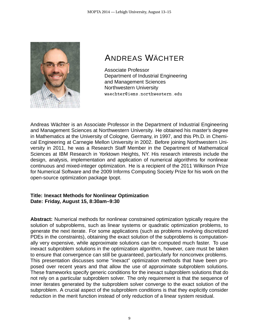<span id="page-9-0"></span>

# ANDREAS WÄCHTER

Associate Professor Department of Industrial Engineering and Management Sciences Northwestern University waechter@iems.northwestern.edu

Andreas Wächter is an Associate Professor in the Department of Industrial Engineering and Management Sciences at Northwestern University. He obtained his master's degree in Mathematics at the University of Cologne, Germany, in 1997, and this Ph.D. in Chemical Engineering at Carnegie Mellon University in 2002. Before joining Northwestern University in 2011, he was a Research Staff Member in the Department of Mathematical Sciences at IBM Research in Yorktown Heights, NY. His research interests include the design, analysis, implementation and application of numerical algorithms for nonlinear continuous and mixed-integer optimization. He is a recipient of the 2011 Wilkinson Prize for Numerical Software and the 2009 Informs Computing Society Prize for his work on the open-source optimization package Ipopt.

### **Title: Inexact Methods for Nonlinear Optimization Date: Friday, August 15, 8:30am–9:30**

**Abstract:** Numerical methods for nonlinear constrained optimization typically require the solution of subproblems, such as linear systems or quadratic optimization problems, to generate the next iterate. For some applications (such as problems involving discretized PDEs in the constraints), obtaining the exact solution of the subproblems is computationally very expensive, while approximate solutions can be computed much faster. To use inexact subproblem solutions in the optimization algorithm, however, care must be taken to ensure that convergence can still be guaranteed, particularly for nonconvex problems. This presentation discusses some "inexact" optimization methods that have been proposed over recent years and that allow the use of approximate subproblem solutions. These frameworks specify generic conditions for the inexact subproblem solutions that do not rely on a particular subproblem solver. The only requirement is that the sequence of inner iterates generated by the subproblem solver converge to the exact solution of the subproblem. A crucial aspect of the subproblem conditions is that they explicitly consider reduction in the merit function instead of only reduction of a linear system residual.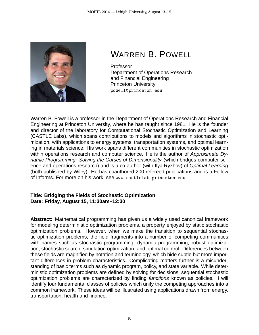<span id="page-10-0"></span>

# WARREN B. POWELL

Professor Department of Operations Research and Financial Engineering Princeton University powell@princeton.edu

Warren B. Powell is a professor in the Department of Operations Research and Financial Engineering at Princeton University, where he has taught since 1981. He is the founder and director of the laboratory for Computational Stochastic Optimization and Learning (CASTLE Labs), which spans contributions to models and algorithms in stochastic optimization, with applications to energy systems, transportation systems, and optimal learning in materials science. His work spans different communities in stochastic optimization within operations research and computer science. He is the author of Approximate Dynamic Programming: Solving the Curses of Dimensionality (which bridges computer science and operations research) and is a co-author (with Ilya Ryzhov) of Optimal Learning (both published by Wiley). He has coauthored 200 refereed publications and is a Fellow of Informs. For more on his work, see www.castlelab.princeton.edu

### **Title: Bridging the Fields of Stochastic Optimization Date: Friday, August 15, 11:30am–12:30**

**Abstract:** Mathematical programming has given us a widely used canonical framework for modeling deterministic optimization problems, a property enjoyed by static stochastic optimization problems. However, when we make the transition to sequential stochastic optimization problems, the field fragments into a number of competing communities with names such as stochastic programming, dynamic programming, robust optimization, stochastic search, simulation optimization, and optimal control. Differences between these fields are magnified by notation and terminology, which hide subtle but more important differences in problem characteristics. Complicating matters further is a misunderstanding of basic terms such as dynamic program, policy, and state variable. While deterministic optimization problems are defined by solving for decisions, sequential stochastic optimization problems are characterized by finding functions known as policies. I will identify four fundamental classes of policies which unify the competing approaches into a common framework. These ideas will be illustrated using applications drawn from energy, transportation, health and finance.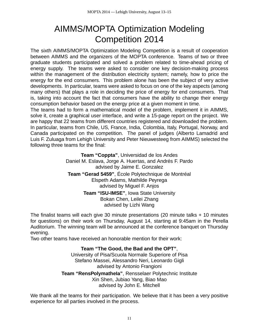# AIMMS/MOPTA Optimization Modeling Competition 2014

The sixth AIMMS/MOPTA Optimization Modeling Competition is a result of cooperation between AIMMS and the organizers of the MOPTA conference. Teams of two or three graduate students participated and solved a problem related to time-ahead pricing of energy supply. The teams were asked to consider one key decision-making process within the management of the distribution electricity system; namely, how to price the energy for the end consumers. This problem alone has been the subject of very active developments. In particular, teams were asked to focus on one of the key aspects (among many others) that plays a role in deciding the price of energy for end consumers. That is, taking into account the fact that consumers have the ability to change their energy consumption behavior based on the energy price at a given moment in time.

The teams had to form a mathematical model of the problem, implement it in AIMMS, solve it, create a graphical user interface, and write a 15-page report on the project. We are happy that 22 teams from different countries registered and downloaded the problem. In particular, teams from Chile, US, France, India, Colombia, Italy, Portugal, Norway, and Canada participated on the competition. The panel of judges (Alberto Lamadrid and Luis F. Zuluaga from Lehigh University and Peter Nieuwesteeg from AIMMS) selected the following three teams for the final:

> **Team "Coppta"**, Universidad de los Andes Daniel M. Eslava, Jorge A. Huertas, and Andrés F. Pardo advised by Jaime E. Gonzalez **Team "Gerad 5459"**, École Polytechnique de Montréal Elspeth Adams, Mathilde Peyrega advised by Miguel F. Anjos **Team "ISU-IMSE"**, Iowa State University Bokan Chen, Leilei Zhang advised by Lizhi Wang

The finalist teams will each give 30 minute presentations (20 minute talks + 10 minutes for questions) on their work on Thursday, August 14, starting at 9:45am in the Perella Auditorium. The winning team will be announced at the conference banquet on Thursday evening.

Two other teams have received an honorable mention for their work:

**Team "The Good, the Bad and the OPT"**, University of Pisa/Scuola Normale Superiore of Pisa Stefano Massei, Alessandro Neri, Leonardo Gigli advised by Antonio Frangioni **Team "RensPolymatheIa"**, Rensselaer Polytechnic Institute Xin Shen, Jubiao Yang, Biao Mao

advised by John E. Mitchell

We thank all the teams for their participation. We believe that it has been a very positive experience for all parties involved in the process.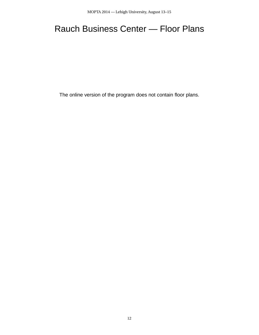# Rauch Business Center — Floor Plans

The online version of the program does not contain floor plans.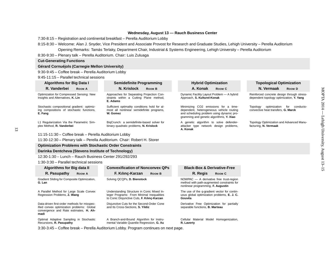#### **Wednesday, August 13 — Rauch Business Center**

7:30-8:15 – Registration and continental breakfast – Perella Auditorium Lobby

8:15-8:30 – Welcome: Alan J. Snyder, Vice President and Associate Provost for Research and Graduate Studies, Lehigh University – Perella Auditorium

Opening Remarks: Tamás Terlaky, Department Chair, Industrial & Systems Engineering, Lehigh University – Perella Auditorium

8:30-9:30 – Plenary talk – Perella Auditorium. Chair: Luis Zuluaga

#### **Cut-Generating Functions**

#### **Gérard Cornuéjols (Carnegie Mellon University)**

9:30-9:45 – Coffee break – Perella Auditorium Lobby

9:45-11:15 – Parallel technical sessions

| <b>Algorithms for Big Data I</b>                                                                    | <b>Semidefinite Programming</b>                                                                                                        | <b>Hybrid Optimization</b>                                                                                                                                                | <b>Topological Optimization</b>                                                        |
|-----------------------------------------------------------------------------------------------------|----------------------------------------------------------------------------------------------------------------------------------------|---------------------------------------------------------------------------------------------------------------------------------------------------------------------------|----------------------------------------------------------------------------------------|
| R. Vanderbei<br><b>ROOM A</b>                                                                       | N. Krislock<br><b>ROOM B</b>                                                                                                           | A. Konak<br><b>ROOM C</b>                                                                                                                                                 | N. Vermaak<br><b>ROOM D</b>                                                            |
| Optimization for Compressed Sensing: New<br>Insights and Alternatives, K. Lin                       | Approaches for Separating Projection Con-<br>straints within a Cutting Plane method,<br>E. Adams                                       | Dynamic Facility Layout Problem - A hybrid<br>Approach, S. Kulturel-Konak                                                                                                 | Reinforced concrete design through stress-<br>dependent topology optimization, Y. Yang |
| Stochastic compositional gradient: optimiz-<br>ing compositions of stochastic functions,<br>E. Fang | Sufficient optimality conditions hold for al-<br>most all nonlinear semidefinite programs,<br>W. Gomez                                 | Minimizing CO2 emissions for a time-<br>dependent, heterogeneous vehicle routing<br>and scheduling problem using dynamic pro-<br>gramming and genetic algorithms, Y. Xiao | Topology<br>optimization<br>for conducto-<br>convective heat transfers, G. Marck       |
| L1 Regularization Via the Parametric Sim-<br>plex Method, R. Vanderbei                              | BigCrunch: a semidefinite-based solver for<br>binary quadratic problems, N. Krislock                                                   | A genetic algorithm to solve defender-<br>attacker type network design problems,<br>A. Konak                                                                              | Topology Optimization and Advanced Manu-<br>facturing, N. Vermaak                      |
| 11:15-11:30 - Coffee break - Perella Auditorium Lobby                                               |                                                                                                                                        |                                                                                                                                                                           |                                                                                        |
| 11:30-12:30 – Plenary talk – Perella Auditorium. Chair: Robert H. Storer                            |                                                                                                                                        |                                                                                                                                                                           |                                                                                        |
| <b>Optimization Problems with Stochastic Order Constraints</b>                                      |                                                                                                                                        |                                                                                                                                                                           |                                                                                        |
| Darinka Dentcheva (Stevens Institute of Technology)                                                 |                                                                                                                                        |                                                                                                                                                                           |                                                                                        |
| 12:30-1:30 - Lunch - Rauch Business Center 291/292/293                                              |                                                                                                                                        |                                                                                                                                                                           |                                                                                        |
| 1:30-3:30 - Parallel technical sessions                                                             |                                                                                                                                        |                                                                                                                                                                           |                                                                                        |
| <b>Algorithms for Big data II</b>                                                                   | <b>Convexification of Nonconvex QPs</b>                                                                                                | <b>Black-Box &amp; Derivative-Free</b>                                                                                                                                    |                                                                                        |
| R. Pasupathy<br><b>ROOM A</b>                                                                       | F. Kılınç-Karzan<br><b>ROOM B</b>                                                                                                      | R. Regis<br><b>ROOM C</b>                                                                                                                                                 |                                                                                        |
| Gradient Sliding for Composite Optimization,<br>G. Lan                                              | Solving QCQPs, D. Bienstock                                                                                                            | NOWPAC - A derivative free trust-region<br>method with path-augmented constraints for<br>nonlinear programming, F. Augustin                                               |                                                                                        |
| A Parallel Method for Large Scale Convex<br>Regression Problems, Z. Wang                            | Understanding Structure in Conic Mixed In-<br>teger Programs: From Minimal Inequalities<br>to Conic Disjunctive Cuts, F. Kilinc-Karzan | The use of the q-gradient vector for contin-<br>uous global optimization problems, E. J. C.<br>Gouvêa                                                                     |                                                                                        |

Data-driven first-order methods for misspecified convex optimization problems: Global convergence and Rate estimates, **H. Ahmadi**

Optimal Adaptive Sampling in StochasticRecursions, **R. Pasupathy**

A Branch-and-Bound Algorithm for Instrumental Variable Quantile Regression, **G. Xu**

Disjunctive Cuts for the Second-Order Coneand Its Cross-Sections, **S. Yildiz**

Cellular Material Model Homogenization, **R. Laverty**

Derivative Free Optimization for partiallyseparable functions, **B. Marteau**

3:30-3:45 – Coffee break – Perella Auditorium Lobby. Program continues on next page.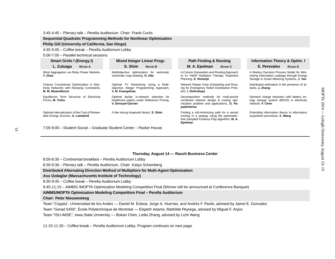#### **Sequential Quadratic Programming Methods for Nonlinear Optimization**

#### **Philip Gill (University of California, San Diego)**

4:45-5:00 – Coffee break – Perella Auditorium Lobby

5:00-7:00 – Parallel technical sessions

| <b>Smart Grids I (Energy I)</b><br>L. Zuluaga<br><b>ROOM A</b>                                              | <b>Mixed Integer Linear Progr.</b><br>S. Shim<br>ROOM <sub>B</sub>                                            | <b>Path Finding &amp; Routing</b><br>M. A. Epelman<br>ROOM <sub>C</sub>                                                                            | <b>Information Theory &amp; Optim. I</b><br>E. Perevalov<br><b>ROOMD</b>                                                            |
|-------------------------------------------------------------------------------------------------------------|---------------------------------------------------------------------------------------------------------------|----------------------------------------------------------------------------------------------------------------------------------------------------|-------------------------------------------------------------------------------------------------------------------------------------|
| Wind Aggregation via Risky Power Markets,<br>Y. Zhao                                                        | Multiobjective optimization for automatic<br>schematic map drawing, O. Oke                                    | A Column Generation and Routing Approach<br>to $4\pi$ VMAT Radiation Therapy Treatment<br>Planning, E. Romeijn                                     | A Markov Decision Process Model for Mini-<br>mizing Information Leakage through Energy<br>Storage in Smart Metering Systems, J. Yao |
| Chance Constrained Optimization in Elec-<br>tricity Networks with Ramping Constraints,<br>M. M. Moarefdoost | Optimal TV Advertising Using a Multi-<br>objective Integer Programming Approach,<br>V. M. Evangelista         | Network Repair Crew Scheduling and Rout-<br>ing for Emergency Relief Distribution Prob-<br>lem, I. Dolinskaya                                      | Distributed estimation in the presence of at-<br>tacks, <b>J. Zhang</b>                                                             |
| Equilibrium Term Structure of Electricity<br>Prices, M. Troha                                               | Optimal facility in-network selection for<br>healthcare payers under Reference Pricing,<br>V. Denoyel-Garnier | Decomposition methods for multi-period<br>combined network design & routing opti-<br>mization problem and applications, D. Pa-<br>padimitriou      | Demand charge reduction with battery en-<br>ergy storage system (BESS) in electricity<br>network. <b>F. Chen</b>                    |
| Optimal Internalization of the Cost of Renew-<br>able Energy Sources, A. Lamadrid                           | A few strong knapsack facets, S. Shim                                                                         | Finding a roll-minimizing path for a vessel<br>moving in a seaway using the parameter-<br>free Sampled Fictitious Play algorithm, M. A.<br>Epelman | Extending information theory to information<br>acquisition processes, X. Wang                                                       |
| 7:00-9:00 - Student Social - Graduate Student Center - Packer House.                                        |                                                                                                               |                                                                                                                                                    |                                                                                                                                     |

#### **Thursday, August <sup>14</sup> — Rauch Business Center**

8:00-8:30 – Continental breakfast – Perella Auditorium Lobby

8:30-9:30 – Plenary talk – Perella Auditorium. Chair: Katya Scheinberg

#### **Distributed Alternating Direction Method of Multipliers for Multi-Agent Optimization**

**Asu Ozdaglar (Massachusetts Institute of Technology)**

9:30-9:45 – Coffee break – Perella Auditorium Lobby

9:45-11:15 – AIMMS /MOPTA Optimization Modeling Competition Final (Winner will be announced at Conference Banquet)

#### **AIMMS/MOPTA Optimization Modeling Competition Final – Perella Auditorium**

#### **Chair: Peter Nieuwesteeg**

14

 Team "Coppta", Universidad de los Andes — Daniel M. Eslava, Jorge A. Huertas, and Andrés F. Pardo, advised by Jaime E. GonzalezTeam "Gerad 5459", École Polytechnique de Montréal — Elspeth Adams, Mathilde Peyrega, advised by Miguel F. AnjosTeam "ISU-IMSE", Iowa State University — Bokan Chen, Leilei Zhang, advised by Lizhi Wang

11:15-11:30 – Coffee break – Perella Auditorium Lobby. Program continues on next page.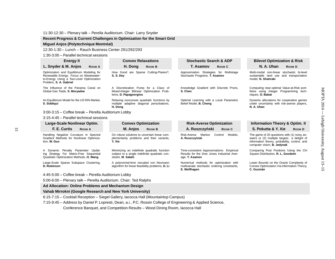#### **Recent Progress & Current Challenges in Optimization for the Smart Grid**

#### **Miguel Anjos (Polytechnique Montréal)**

12:30-1:30 – Lunch – Rauch Business Center 291/292/293

1:30-3:00 – Parallel technical sessions

15

| <b>Energy II</b>                                                                                                                                          | <b>Convex Relaxations</b>                                                                                          | <b>Stochastic Search &amp; ADP</b>                                                                        | <b>Bilevel Optimization &amp; Risk</b>                                                                                                                                            |
|-----------------------------------------------------------------------------------------------------------------------------------------------------------|--------------------------------------------------------------------------------------------------------------------|-----------------------------------------------------------------------------------------------------------|-----------------------------------------------------------------------------------------------------------------------------------------------------------------------------------|
| L. Snyder & M. Anjos<br><b>ROOM A</b>                                                                                                                     | H. Dong<br><b>ROOM B</b>                                                                                           | <b>T. Asamov</b><br><b>ROOM C</b>                                                                         | N. A. Uhan<br><b>ROOM D</b>                                                                                                                                                       |
| Optimization and Equilibrium Modeling for<br>Renewable Energy: Focus on Wastewater-<br>to-Energy Using a Two-Level Optimization<br>Problem, S. A. Gabriel | How Good are Sparse Cutting-Planes?,<br>S. S. Dev                                                                  | Approximation Strategies for Multistage<br>Stochastic Programs, T. Asamov                                 | Multi-modal non-linear stochastic bi-level<br>sustainable land use and transportation<br>model, N. Shahraki                                                                       |
| The Influence of the Panama Canal on<br>Global Gas Trade, S. Moryadee                                                                                     | A Discretization Pump for a Class of<br>Mixed-Integer Bilinear Optimization Prob-<br>lems, D. Papageorgiou         | Knowledge Gradient with Discrete Priors,<br>S. Chen                                                       | Computing near-optimal Value-at-Risk port-<br>folios using Integer Programming tech-<br>niques, O. Babat                                                                          |
| An Equilibrium Model for the US RIN Market,<br>S. Siddigui                                                                                                | Relaxing nonconvex quadratic functions by<br>multiple adaptive diagonal perturbations,<br>H. Dong                  | Optimal Learning with a Local Parametric<br>Belief Model, <b>B. Cheng</b>                                 | Dynamic allocations for cooperative games<br>under uncertainty with risk-averse players,<br>N. A. Uhan                                                                            |
| 3:00-3:15 – Coffee break – Perella Auditorium Lobby                                                                                                       |                                                                                                                    |                                                                                                           |                                                                                                                                                                                   |
| 3:15-4:45 - Parallel technical sessions                                                                                                                   |                                                                                                                    |                                                                                                           |                                                                                                                                                                                   |
|                                                                                                                                                           |                                                                                                                    |                                                                                                           |                                                                                                                                                                                   |
| Large-Scale Nonlinear Optim.                                                                                                                              | <b>Convex Optimization</b>                                                                                         | <b>Risk-Averse Optimization</b>                                                                           | <b>Information Theory &amp; Optim. II</b>                                                                                                                                         |
| F. E. Curtis<br><b>ROOM A</b>                                                                                                                             | M. Anjos<br><b>ROOM B</b>                                                                                          | A. Ruszczyński<br><b>ROOM C</b>                                                                           | S. Pokutta & Y. Xie<br><b>ROOM D</b>                                                                                                                                              |
| Handling Negative Curvature in Spectral<br>Gradient Methods for Nonlinear Optimiza-<br>tion, W. Guo                                                       | On robust solutions to uncertain linear com-<br>plementarity problems and their variants,<br>Y. Xie                | Markov<br>Control<br>Models,<br>Risk-Averse<br>A. Ruszczyński                                             | The game of 20 questions with (1) noisy an-<br>swers or (2) multiple targets: a delight of<br>information theory, probability, control, and<br>computer vision, <b>B. Jedynak</b> |
| A Dynamic Penalty Parameter Updat-<br>ing Strategy For Matrix-Free Sequential<br>Quadratic Optimization Methods, H. Wang                                  | Minimizing an indefinite quadratic function<br>subject to a single indefinite quadratic con-<br>straint, M. Salahi | Time-consistent Approximations: Empirical<br>Results for the Dow Jones Industrial Aver-<br>age, T. Asamov | Comparing Post Positions Using the Chi<br>Square Distribution, R. L. Goodwin                                                                                                      |
| Large-Scale Sparse Subspace Clustering,<br>D. Robinson                                                                                                    | A polynomial-time rescaled von Neumann<br>algorithm for linear feasibility problems, D. Li                         | Numerical methods for optimization with<br>multivariate stochastic ordering constraints,<br>E. Wolfhagen  | Lower Bounds on the Oracle Complexity of<br>Convex Optimization Via Information Theory,<br>C. Guzmán                                                                              |
| 4:45-5:00 - Coffee break - Perella Auditorium Lobby                                                                                                       |                                                                                                                    |                                                                                                           |                                                                                                                                                                                   |

#### **Ad Allocation: Online Problems and Mechanism Design**

#### **Vahab Mirrokni (Google Research and New York University)**

6:15-7:15 – Cocktail Reception – Siegel Gallery, Iacocca Hall (Mountaintop Campus)

7:15-9:45 – Address by Daniel P. Lopresti, Dean, a.i., P.C. Rossin College of Engineering & Applied Science,

Conference Banquet, and Competition Results – Wood Dining Room, Iacocca Hall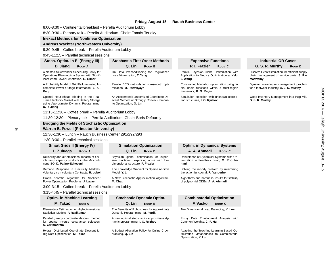#### **Friday, August 15 — Rauch Business Center**

8:00-8:30 – Continental breakfast – Perella Auditorium Lobby

8:30-9:30 – Plenary talk – Perella Auditorium. Chair: Tamás Terlaky

#### **Inexact Methods for Nonlinear Optimization**

#### **Andreas Wächter (Northwestern University)**

9:30-9:45 – Coffee break – Perella Auditorium Lobby

9:45-11:15 – Parallel technical sessions

Big Data Optimization, **M. Takácˇ**

| Stoch. Optim. in E. (Energy III)                                                                                                                 | <b>Stochastic First Order Methods</b>                                                                                     | <b>Expensive Functions</b>                                                                                           | <b>Industrial OR Cases</b>                                                                             |
|--------------------------------------------------------------------------------------------------------------------------------------------------|---------------------------------------------------------------------------------------------------------------------------|----------------------------------------------------------------------------------------------------------------------|--------------------------------------------------------------------------------------------------------|
| D. Jiang<br><b>ROOM A</b>                                                                                                                        | Q. Lin<br><b>ROOM B</b>                                                                                                   | P. I. Frazier<br><b>ROOM C</b>                                                                                       | G. S. R. Murthy<br><b>ROOMD</b>                                                                        |
| A Nested Newsvendor Scheduling Policy for<br>Operations Planning in a System with Signif-<br>icant Wind Power Penetration, G. Gliner             | On Data Preconditioning for Regularized<br>Loss Minimization, T. Yang                                                     | Parallel Bayesian Global Optimization, with<br>Application to Metrics Optimization at Yelp,<br>J. Wang               | Discrete Event Simulation for efficient supply<br>chain management of service parts, S. Ra-<br>maswamy |
| A Probability Model of Grid Failures using In-<br>complete Power Outage Information, L. Al-<br>Kanj                                              | Parallel BCD methods for non-smooth opti-<br>mization, M. Razaviyayn                                                      | Constrained black-box optimization using ra-<br>dial basis functions within a trust-region<br>framework, R. G. Regis | Dynamic warehouse management problem<br>for a footwear industry, A. L. N. Murthy                       |
| Optimal Hour-Ahead Bidding in the Real-<br>Time Electricity Market with Battery Storage<br>using Approximate Dynamic Programming,<br>D. R. Jiang | An Accelerated Randomized Coordinate De-<br>scent Method for Strongly Convex Compos-<br>ite Optimization, Q. Lin          | Simulation selection with unknown correla-<br>tion structures, <b>I. O. Ryzhov</b>                                   | Wood Inventory Management in a Pulp Mill,<br>G. S. R. Murthy                                           |
| 11:15-11:30 - Coffee break - Perella Auditorium Lobby                                                                                            |                                                                                                                           |                                                                                                                      |                                                                                                        |
| 11:30-12:30 - Plenary talk - Perella Auditorium. Chair: Boris Defourny                                                                           |                                                                                                                           |                                                                                                                      |                                                                                                        |
| <b>Bridging the Fields of Stochastic Optimization</b>                                                                                            |                                                                                                                           |                                                                                                                      |                                                                                                        |
| Warren B. Powell (Princeton University)                                                                                                          |                                                                                                                           |                                                                                                                      |                                                                                                        |
| 12:30-1:30 - Lunch - Rauch Business Center 291/292/293                                                                                           |                                                                                                                           |                                                                                                                      |                                                                                                        |
| 1:30-3:00 - Parallel technical sessions                                                                                                          |                                                                                                                           |                                                                                                                      |                                                                                                        |
| <b>Smart Grids II (Energy IV)</b>                                                                                                                | <b>Simulation Optimization</b>                                                                                            | <b>Optim. in Dynamical Systems</b>                                                                                   |                                                                                                        |
| L. Zuluaga<br><b>ROOM A</b>                                                                                                                      | Q. Lin<br><b>ROOM B</b>                                                                                                   | A. A. Ahmadi<br><b>ROOM C</b>                                                                                        |                                                                                                        |
| Reliability and air emissions impacts of flex-<br>ible ramp capacity products in the Midconti-<br>nent ISO, D. Patino-Echeverri                  | Bayesian global optimization of expen-<br>sive functions: exploiting noise with low-<br>dimensional structure, P. Frazier | Robustness of Dynamical Systems with Op-<br>timization in Feedback Loop, M. Roozbe-<br>hani                          |                                                                                                        |
| Demand Response in Electricity Markets:<br>Voluntary vs Involuntary Contracts, R. Lobel                                                          | The Knowledge Gradient for Sparse Additive<br>Model, Y. Li                                                                | Solving the n-body problem by minimizing<br>the action functional, R. Vanderbei                                      |                                                                                                        |
| Graph-Theoretic Algorithm for Nonlinear<br>Power Optimization Problems, J. Lavaei                                                                | A New Stochastic Approximation Algorithm,<br>M. Chau                                                                      | Algorithms and hardness results for stability<br>of polynomial ODEs, A. A. Ahmadi                                    |                                                                                                        |
| 3:00-3:15 - Coffee break - Perella Auditorium Lobby                                                                                              |                                                                                                                           |                                                                                                                      |                                                                                                        |
| 3:15-4:45 - Parallel technical sessions                                                                                                          |                                                                                                                           |                                                                                                                      |                                                                                                        |
| <b>Optim. in Machine Learning</b>                                                                                                                | <b>Stochastic Dynamic Optim.</b>                                                                                          | <b>Combinatorial Optimization</b>                                                                                    |                                                                                                        |
| M. Takáč<br><b>ROOM A</b>                                                                                                                        | Q. Lin<br><b>ROOM B</b>                                                                                                   | F. Vasko<br><b>ROOM C</b>                                                                                            |                                                                                                        |
| Elementary Estimators for High-dimensional<br>Statistical Models, P. Ravikumar                                                                   | The Benefits of Robustness for Approximate<br>Dynamic Programming, M. Petrik                                              | Two Dimensional Load Balancing, K. Lee                                                                               |                                                                                                        |
| Parallel greedy coordinate descent method<br>for sparse inverse covariance selection,<br>S. Yektamaram                                           | A new optimal stepsize for approximate dy-<br>namic programming, I. O. Ryzhov                                             | Fuzzy Data Envelopment Analysis with<br>Common Weights, C.-F. Hu                                                     |                                                                                                        |
| Hydra: Distributed Coordinate Descent for                                                                                                        | A Budget Allocation Policy for Online Crow-                                                                               | Adapting the Teaching-Learning-Based Op-                                                                             |                                                                                                        |

A Budget Allocation Policy for Online Crowdranking, **Q. Lin**

 Adapting the Teaching-Learning-Based Op- timization Metaheuristic to Combinatorial Optimization, **Y. Lu**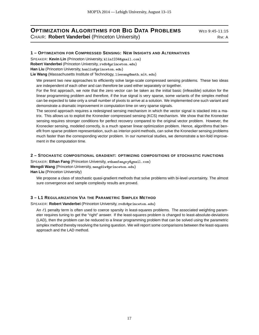## <span id="page-17-0"></span>**OPTIMIZATION ALGORITHMS FOR BIG DATA PROBLEMS** <sup>W</sup>ED 9:45-11:15 **CHAIR: Robert Vanderbei** (Princeton University) RM: A

#### **1 – OPTIMIZATION FOR COMPRESSED SENSING: NEW INSIGHTS AND ALTERNATIVES**

SPEAKER: Kevin Lin (Princeton University, klin1234@gmail.com) Robert Vanderbei (Princeton University, rvdb@princeton.edu) Han Liu (Princeton University, hanliu@princeton.edu) Lie Wang (Massachusetts Institute of Technology, liewang@math.mit.edu[\)](mailto:liewang@math.mit.edu)

We present two new approaches to efficiently solve large-scale compressed sensing problems. These two ideas are independent of each other and can therefore be used either separately or together.

For the first approach, we note that the zero vector can be taken as the initial basic (infeasible) solution for the linear programming problem and therefore, if the true signal is very sparse, some variants of the simplex method can be expected to take only a small number of pivots to arrive at a solution. We implemented one such variant and demonstrate a dramatic improvement in computation time on very sparse signals.

The second approach requires a redesigned sensing mechanism in which the vector signal is stacked into a matrix. This allows us to exploit the Kronecker compressed sensing (KCS) mechanism. We show that the Kronecker sensing requires stronger conditions for perfect recovery compared to the original vector problem. However, the Kronecker sensing, modeled correctly, is a much sparser linear optimization problem. Hence, algorithms that benefit from sparse problem representation, such as interior-point methods, can solve the Kronecker sensing problems much faster than the corresponding vector problem. In our numerical studies, we demonstrate a ten-fold improvement in the computation time.

#### **2 – STOCHASTIC COMPOSITIONAL GRADIENT: OPTIMIZING COMPOSITIONS OF STOCHASTIC FUNCTIONS**

SPEAKER: Ethan Fang (Princeton University, ethanfangxy@gmail.com) Mengdi Wang (Princeton University, mengdiw@princeton.edu) **Han Liu** (Princeton University)

We propose a class of stochastic quasi-gradient methods that solve problems with bi-level uncertainty. The almost sure convergence and sample complexity results are proved.

#### **3 – L1 REGULARIZATION VIA THE PARAMETRIC SIMPLEX METHOD**

SPEAKER: Robert Vanderbei (Princeton University, rvdb@princeton.edu)

An *ℓ*1 penalty term is often used to coerce sparsity in least-squares problems. The associated weighting parameter requires tuning to get the "right" answer. If the least-squares problem is changed to least-absolute-deviations (LAD), then the problem can be reduced to a linear programming problem that can be solved using the parametric simplex method thereby resolving the tuning question. We will report some comparisons between the least-squares approach and the LAD method.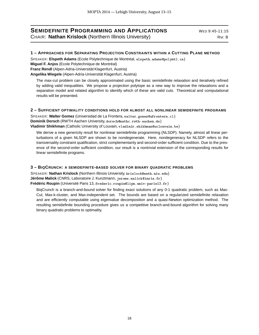# <span id="page-18-0"></span>**SEMIDEFINITE PROGRAMMING AND APPLICATIONS** <sup>W</sup>ED 9:45-11:15 CHAIR: **Nathan Krislock** (Northern Illinois University) RM: B RM: B

#### **1 – APPROACHES FOR SEPARATING PROJECTION CONSTRAINTS WITHIN A CUTTING PLANE METHOD**

SPEAKER: Elspeth Adams (Ecole Polytechnique de Montréal, el speth.adams@polymtl.ca) **Miguel F. Anjos** (Ecole Polytechnique de Montréal) **Franz Rendl** (Alpen-Adria-Universität Klagenfurt, Austria) **Angelika Wiegele** (Alpen-Adria-Universität Klagenfurt, Austria)

The max-cut problem can be closely approximated using the basic semidefinite relaxation and iteratively refined by adding valid inequalities. We propose a projection polytope as a new way to improve the relaxations and a separation model and related algorithm to identify which of these are valid cuts. Theoretical and computational results will be presented.

#### **2 – SUFFICIENT OPTIMALITY CONDITIONS HOLD FOR ALMOST ALL NONLINEAR SEMIDEFINITE PROGRAMS**

SPEAKER: Walter Gomez (Universidad de La Frontera, walter.gomez@ufrontera.cl) Dominik Dorsch (RWTH Aachen University, dorsch@mathc.rwth-aachen.de) Vladimir Shikhman (Catholic University of Louvain, vladimir.shikhman@uclouvain.be)

We derive a new genericity result for nonlinear semidefinite programming (NLSDP). Namely, almost all linear perturbations of a given NLSDP are shown to be nondegenerate. Here, nondegeneracy for NLSDP refers to the transversality constraint qualification, strict complementarity and second-order sufficient condition. Due to the presence of the second-order sufficient condition, our result is a nontrivial extension of the corresponding results for linear semidefinite programs.

#### **3 – BIQCRUNCH: A SEMIDEFINITE-BASED SOLVER FOR BINARY QUADRATIC PROBLEMS**

SPEAKER: **Nathan Krislock** (Northern Illinois University, [krislo
kmath.niu.edu](mailto:krislock@math.niu.edu)) Jérôme Malick (CNRS, Laboratoire J. Kunztmann, jerome.malick@inria.fr) Frédéric Roupin (Université Paris 13, frederic.roupin@lipn.univ-paris13.fr)

BiqCrunch is a branch-and-bound solver for finding exact solutions of any 0-1 quadratic problem, such as Max-Cut, Max-k-cluster, and Max-independent set. The bounds are based on a regularized semidefinite relaxation and are efficiently computable using eigenvalue decomposition and a quasi-Newton optimization method. The resulting semidefinite bounding procedure gives us a competitive branch-and-bound algorithm for solving many binary quadratic problems to optimality.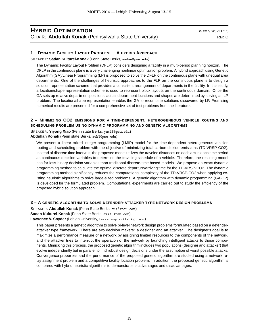# <span id="page-19-0"></span>**HYBRID OPTIMIZATION** WED 9:45-11:15 CHAIR: **Abdullah Konak** (Pennsylvania State University) RM: C

#### **1 – DYNAMIC FACILITY LAYOUT PROBLEM — A HYBRID APPROACH**

SPEAKER: Sadan Kulturel-Konak (Penn State Berks, sadan@psu.edu)

The Dynamic Facility Layout Problem (DFLP) considers designing a facility in a multi-period planning horizon. The DFLP in the continuous plane is a very challenging nonlinear optimization problem. A hybrid approach using Genetic Algorithm (GA)/Linear Programming (LP) is proposed to solve the DFLP on the continuous plane with unequal area departments. One of the challenges of heuristic approaches to the FLP on the continuous plane is to design a solution representation scheme that provides a consistent arrangement of departments in the facility. In this study, a location/shape representation scheme is used to represent block layouts on the continuous domain. Once the GA sets up relative department positions, actual department locations and shapes are determined by solving an LP problem. The location/shape representation enables the GA to recombine solutions discovered by LP. Promising numerical results are presented for a comprehensive set of test problems from the literature.

#### **2 – MINIMIZING CO2 EMISSIONS FOR A TIME-DEPENDENT, HETEROGENEOUS VEHICLE ROUTING AND SCHEDULING PROBLEM USING DYNAMIC PROGRAMMING AND GENETIC ALGORITHMS**

SPEAKER: Yiyong Xiao (Penn state Berks, yux18@psu.edu[\)](mailto:yux18@psu.edu)

**Abdullah Konak** (Penn state Berks, auk3psu.edu[\)](mailto:auk3@psu.edu)

We present a linear mixed integer programming (LMIP) model for the time-dependent heterogeneous vehicles routing and scheduling problem with the objective of minimizing total carbon dioxide emissions (TD-VRSP-CO2). Instead of discrete time intervals, the proposed model utilizes the traveled distances on each arc in each time period as continuous decision variables to determine the traveling schedule of a vehicle. Therefore, the resulting model has far less binary decision variables than traditional discrete-time based models. We propose an exact dynamic programming method to calculate the optimal discrete departure/arriving time for the TD-VRSP-CO2. The dynamic programming method significantly reduces the computational complexity of the TD-VRSP-CO2 when applying existing heuristic algorithms to solve large-sized problems. A genetic algorithm with dynamic programming (GA-DP) is developed for the formulated problem. Computational experiments are carried out to study the efficiency of the proposed hybrid solution approach.

#### **3 – A GENETIC ALGORITHM TO SOLVE DEFENDER-ATTACKER TYPE NETWORK DESIGN PROBLEMS**

SPEAKER: **Abdullah Konak** (Penn State Berks, [auk3psu.edu](mailto:auk3@psu.edu)) Sadan Kulturel-Konak (Penn State Berks, sxk70@psu.edu[\)](mailto:sxk70@psu.edu)

Lawrence V. Snyder (Lehigh University, larry.snyder@lehigh.edu)

This paper presents a genetic algorithm to solve bi-level network design problems formulated based on a defenderattacker type framework. There are two decision makers: a designer and an attacker. The designer's goal is to maximize a performance measure of a network by assigning limited resources to the components of the network, and the attacker tries to interrupt the operation of the network by launching intelligent attacks to those components. Mimicking this process, the proposed genetic algorithm includes two populations (designer and attacker) that evolve independently but in parallel to find robust design decisions under the assumption of worst possible attacks. Convergence properties and the performance of the proposed genetic algorithm are studied using a network relay assignment problem and a competitive facility location problem. In addition, the proposed genetic algorithm is compared with hybrid heuristic algorithms to demonstrate its advantages and disadvantages.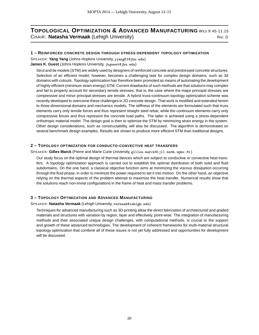# <span id="page-20-0"></span>**TOPOLOGICAL OPTIMIZATION & ADVANCED MANUFACTURING** <sup>W</sup>ED 9:45-11:15 **CHAIR: Natasha Vermaak** (Lehigh University) **RAIL CHAIR: Natasha Vermaak** (Lehigh University) RM: D

#### **1 – REINFORCED CONCRETE DESIGN THROUGH STRESS-DEPENDENT TOPOLOGY OPTIMIZATION**

SPEAKER: Yang Yang (Johns Hopkins University, yyang61@jhu.edu[\)](mailto:yyang61@jhu.edu) James K. Guest (Johns Hopkins University, jkguest@jhu.edu[\)](mailto:jkguest@jhu.edu)

Strut and tie models (STM) are widely used by designers of reinforced concrete and prestressed concrete structures. Selection of an efficient model, however, becomes a challenging task for complex design domains, such as 3d domains with cutouts. Topology optimization has therefore been promoted as means of automating the development of highly efficient (minimum strain energy) STM. Current drawbacks of such methods are that solutions may complex and fail to properly account for secondary tensile stresses; that is, the case where the major principal stresses are compressive and minor principal stresses are tensile. A hybrid truss-continuum topology optimization scheme was recently developed to overcome these challenges in 2D concrete design. That work is modified and extended herein to three-dimensional domains and mechanics models. The stiffness of the elements are formulated such that truss elements carry only tensile forces and thus represent straight steel rebar, while the continuum elements carry only compressive forces and thus represent the concrete load paths. The latter is achieved using a stress-dependent orthotropic material model. The design goal is then to optimize the STM by minimizing strain energy in the system. Other design considerations, such as constructability, will also be discussed. The algorithm is demonstrated on several benchmark design examples. Results are shown to produce more efficient STM than traditional designs.

#### **2 – TOPOLOGY OPTIMIZATION FOR CONDUCTO-CONVECTIVE HEAT TRANSFERS**

SPEAKER: Gilles Marck (Pierre and Marie Curie University, gilles.marck@ljll.math.upmc.fr)

Our study focus on the optimal design of thermal devices which are subject to conductive or convective heat transfers. A topology optimization approach is carried out to establish the optimal distribution of both solid and fluid subdomains. On the one hand, a classical objective function aims at minimizing the viscous dissipation occurring through the fluid phase, in order to minimize the power required to set it into motion. On the other hand, an objective relying on the thermal aspects of the problem attempt to maximize the heat transfer. Numerical results show that the solutions reach non-trivial configurations in the frame of heat and mass transfer problems.

#### **3 – TOPOLOGY OPTIMIZATION AND ADVANCED MANUFACTURING**

SPEAKER: Natasha Vermaak (Lehigh University, vermaak@lehigh.edu)

Techniques for advanced manufacturing such as 3D-printing allow the direct fabrication of architectured and graded materials and structures with variation by region, layer and effectively, point-wise. The integration of manufacturing methods and their associated unique design challenges, with computational methods, is crucial to the support and growth of these advanced technologies. The development of coherent frameworks for multi-material structural topology optimization that combine all of these issues is not yet fully addressed and opportunities for development will be discussed.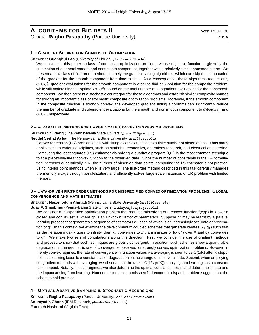# <span id="page-21-0"></span>**ALGORITHMS FOR BIG DATA II** <sup>W</sup>ED 1:30-3:30 **CHAIR: Raghu Pasupathy** (Purdue University) **RAGGE CHAIR: RM: A**

#### **1 – GRADIENT SLIDING FOR COMPOSITE OPTIMIZATION**

SPEAKER: **Guanghui Lan** (University of Florida, glan@ise.ufl.edu)

We consider in this paper a class of composite optimization problems whose objective function is given by the summation of a general smooth and nonsmooth component, together with a relatively simple nonsmooth term. We present a new class of first-order methods, namely the gradient sliding algorithms, which can skip the computation of the gradient for the smooth component from time to time. As a consequence, these algorithms require only  $\mathcal{O}(1/\sqrt{\epsilon})$  gradient evaluations for the smooth component in order to find an  $\epsilon$ -solution for the composite problem, while still maintaining the optimal  $\mathcal{O}(1/\epsilon^2)$  bound on the total number of subgradient evaluations for the nonsmooth component. We then present a stochastic counterpart for these algorithms and establish similar complexity bounds for solving an important class of stochastic composite optimization problems. Moreover, if the smooth component in the composite function is strongly convex, the developed gradient sliding algorithms can significantly reduce the number of graduate and subgradient evaluations for the smooth and nonsmooth component to  $\mathcal{O}(\log(1/\epsilon))$  and  $\mathcal{O}(1/\epsilon)$ , respectively.

#### **2 – A PARALLEL METHOD FOR LARGE SCALE CONVEX REGRESSION PROBLEMS**

SPEAKER: **Zi Wang** (The Pennsylvania State University, zxw121@psu.edu[\)](mailto:zxw121@psu.edu)

**Necdet Serhat Aybat** (The Pennsylvania State University, nsa10@psu.edu[\)](mailto:nsa10@psu.edu)

Convex regression (CR) problem deals with fitting a convex function to a finite number of observations. It has many applications in various disciplines, such as statistics, economics, operations research, and electrical engineering. Computing the least squares (LS) estimator via solving a quadratic program (QP) is the most common technique to fit a piecewise-linear convex function to the observed data. Since the number of constraints in the QP formulation increases quadratically in N, the number of observed data points, computing the LS estimator is not practical using interior point methods when N is very large. The first-order method described in this talk carefully manages the memory usage through parallelization, and efficiently solves large-scale instances of CR problem with limited memory.

#### **3 – DATA-DRIVEN FIRST-ORDER METHODS FOR MISSPECIFIED CONVEX OPTIMIZATION PROBLEMS: GLOBAL CONVERGENCE AND RATE ESTIMATES**

SPEAKER: **Hesamoddin Ahmadi** (Pennsylvania State University, [hza108psu.edu](mailto:hza108@psu.edu))

Uday V. Shanbhag (Pennsylvania State University, udaybag@engr.psu.edu)

We consider a misspecified optimization problem that requires minimizing of a convex function  $f(x;q^*)$  in x over a closed and convex set X where q\* is an unknown vector of parameters. Suppose q\* may be learnt by a parallel learning process that generates a sequence of estimators q*<sup>k</sup>* each of which is an increasingly accurate approximation of q $^*$ . In this context, we examine the development of coupled schemes that generate iterates ( $\mathsf{x}_k,\mathsf{q}_k$ ) such that as the iteration index k goes to infinity, then x*<sup>k</sup>* converges to x<sup>∗</sup> , a minimizer of f(x;q∗ ) over X and q*<sup>k</sup>* converges to q∗. We make two sets of contributions along this direction. First, we consider the use of gradient methods and proceed to show that such techniques are globally convergent. In addition, such schemes show a quantifiable degradation in the geometric rate of convergence observed for strongly convex optimization problems. However in merely convex regimes, the rate of convergence in function values via averaging is seen to be O(1/K) after K steps; in effect, learning leads to a constant factor degradation but no change on the overall rate. Second, when employing subgradient methods with averaging, we observe that the rate is  $O(1/sqrt(K))$ , implying that learning has a constant factor impact. Notably, in such regimes, we also determine the optimal constant stepsize and determine its rate and the impact arising from learning. Numerical studies on a misspecified economic dispatch problem suggest that the schemes hold promise.

#### **4 – OPTIMAL ADAPTIVE SAMPLING IN STOCHASTIC RECURSIONS**

SPEAKER: Raghu Pasupathy (Purdue University, pasupath Opurdue.edu) **Soumyadip Ghosh** (IBM Research, ghoshs@us.ibm.com) **Fatemeh Hashemi** (Virginia Tech)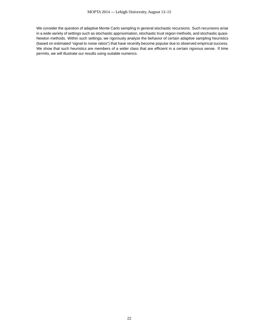We consider the question of adaptive Monte Carlo sampling in general stochastic recursions. Such recursions arise in a wide variety of settings such as stochastic approximation, stochastic trust region methods, and stochastic quasi-Newton methods. Within such settings, we rigorously analyze the behavior of certain adaptive sampling heuristics (based on estimated "signal to noise ratios") that have recently become popular due to observed empirical success. We show that such heuristics are members of a wider class that are efficient in a certain rigorous sense. If time permits, we will illustrate our results using suitable numerics.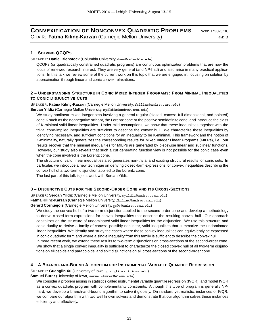# <span id="page-23-0"></span>**CONVEXIFICATION OF NONCONVEX QUADRATIC PROBLEMS** <sup>W</sup>ED 1:30-3:30 CHAIR: Fatma Kılınç-Karzan (Carnegie Mellon University) RM: B

#### **1 – SOLVING QCQPS**

SPEAKER: Daniel Bienstock (Columbia University, dano@columbia.edu)

QCQPs (or quadratically constrained quadratic programs) are continuous optimization problems that are now the focus of renewed research interest. They are very general (and NP-had) and also arise in many practical applications. In this talk we review some of the current work on this topic that we are engaged in, focusing on solution by approximation through linear and conic convex relaxations.

#### **2 – UNDERSTANDING STRUCTURE IN CONIC MIXED INTEGER PROGRAMS: FROM MINIMAL INEQUALITIES TO CONIC DISJUNCTIVE CUTS**

SPEAKER: Fatma Kılınç-Karzan (Carnegie Mellon University, fkilinc@andrew.cmu.edu)

Sercan Yildiz (Carnegie Mellon University, syildiz@andrew.cmu.edu)

We study nonlinear mixed integer sets involving a general regular (closed, convex, full dimensional, and pointed) cone K such as the nonnegative orthant, the Lorentz cone or the positive semidefinite cone, and introduce the class of K-minimal valid linear inequalities. Under mild assumptions, we show that these inequalities together with the trivial cone-implied inequalities are sufficient to describe the convex hull. We characterize these inequalities by identifying necessary, and sufficient conditions for an inequality to be K-minimal. This framework and the notion of K-minimality, naturally generalizes the corresponding results for Mixed Integer Linear Programs (MILPs), i.e., our results recover that the minimal inequalities for MILPs are generated by piecewise linear and sublinear functions. However, our study also reveals that such a cut generating function view is not possible for the conic case even when the cone involved is the Lorentz cone.

The structure of valid linear inequalities also generates non-trivial and exciting structural results for conic sets. In particular, we introduce a new technique on deriving closed-form expressions for convex inequalities describing the convex hull of a two-term disjunction applied to the Lorentz cone.

The last part of this talk is joint work with Sercan Yildiz.

#### **3 – DISJUNCTIVE CUTS FOR THE SECOND-ORDER CONE AND ITS CROSS-SECTIONS**

SPEAKER: Sercan Yildiz (Carnegie Mellon University, syildiz@andrew.cmu.edu) Fatma Kılınç-Karzan (Carnegie Mellon University, fkilinc@andrew.cmu.edu) Gérard Cornuéjols (Carnegie Mellon University, gc0v@andrew.cmu.edu[\)](mailto:gc0v@andrew.cmu.edu)

We study the convex hull of a two-term disjunction applied to the second-order cone and develop a methodology to derive closed-form expressions for convex inequalities that describe the resulting convex hull. Our approach capitalizes on the structure of undominated valid linear inequalities for the disjunction. We use this structure and conic duality to derive a family of convex, possibly nonlinear, valid inequalities that summarize the undominated linear inequalities. We identify and study the cases where these convex inequalities can equivalently be expressed in conic quadratic form and where a single inequality from this family is sufficient to describe the convex hull. In more recent work, we extend these results to two-term disjunctions on cross-sections of the second-order cone. We show that a single convex inequality is sufficient to characterize the closed convex hull of all two-term disjunctions on ellipsoids and paraboloids, and split disjunctions on all cross-sections of the second-order cone.

#### **4 – A BRANCH-AND-BOUND ALGORITHM FOR INSTRUMENTAL VARIABLE QUANTILE REGRESSION**

SPEAKER: **Guanglin Xu** (University of Iowa, guanglin-xu@uiowa.edu)

**Samuel Burer** (University of Iowa, samuel-burer@uiowa.edu)

We consider a problem arising in statistics called instrumental variable quantile regression (IVQR), and model IVQR as a convex quadratic program with complementarity constraints. Although this type of program is generally NPhard, we develop a branch-and-bound algorithm to solve it globally. On random, yet realistic, instances of IVQR, we compare our algorithm with two well known solvers and demonstrate that our algorithm solves these instances efficiently and effectively.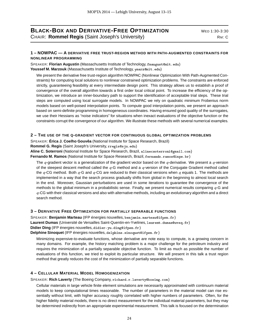# <span id="page-24-0"></span>**BLACK-BOX AND DERIVATIVE-FREE OPTIMIZATION WED 1:30-3:30 CHAIR: Rommel Regis (Saint Joseph's University) RM: C RM: C RM: C**

#### **1 – NOWPAC — A DERIVATIVE FREE TRUST-REGION METHOD WITH PATH-AUGMENTED CONSTRAINTS FOR NONLINEAR PROGRAMMING**

SPEAKER: Florian Augustin (Massachusetts Institute of Technology, fmaugust@mit.edu) **Youssef M. Marzouk** (Massachusetts Institute of Technology, ymarz@mit.edu)

We present the derivative free trust-region algorithm NOWPAC (Nonlinear Optimization With Path-Augmented Constraints) for computing local solutions to nonlinear constrained optimization problems. The constraints are enforced strictly, guaranteeing feasibility at every intermediate design point. This strategy allows us to establish a proof of convergence of the overall algorithm towards a first order local critical point. To increase the efficiency of the optimization, we introduce an inner-boundary path to support the identification of acceptable trial steps. These trial steps are computed using local surrogate models. In NOWPAC we rely on quadratic minimum Frobenius norm models based on well-poised interpolation points. To compute good interpolation points, we present an approach based on semi-definite programming in homogeneous coordinates. Having ensured good quality of the surrogates, we use their Hessians as "noise indicators" for situations when inexact evaluations of the objective function or the constraints corrupt the convergence of our algorithm. We illustrate these methods with several numerical examples.

#### **2 – THE USE OF THE Q-GRADIENT VECTOR FOR CONTINUOUS GLOBAL OPTIMIZATION PROBLEMS**

SPEAKER: **Érica J. Coelho Gouvêa** (National Institute for Space Research, Brazil)

**Rommel G. Regis** (Saint Joseph's University, rregis@sju.edu)

Aline C. Soterroni (National Institute for Space Research, Brazil, alinecsoterroni@gmail.com)

**Fernando M. Ramos** (National Institute for Space Research, Brazil, fernando.ramos@inpe.br)

The *q*-gradient vector is a generalization of the gradient vector based on the *q*-derivative. We present a *q*-version of the steepest descent method called the *q*-G method and a *q*-version of the Conjugate Gradient method called the *q*-CG method. Both *q*-G and *q*-CG are reduced to their classical versions when *q* equals 1. The methods are implemented in a way that the search process gradually shifts from global in the beginning to almost local search in the end. Moreover, Gaussian perturbations are used in some iterations to guarantee the convergence of the methods to the global minimum in a probabilistic sense. Finally, we present numerical results comparing *q*-G and *q*-CG with their classical versions and also with alternative methods, including an evolutionary algorithm and a direct search method.

#### **3 – DERIVATIVE FREE OPTIMIZATION FOR PARTIALLY SEPARABLE FUNCTIONS**

SPEAKER: **Benjamin Marteau** (IFP énergies nouvelles, benjamin.marteau@ifpen.fr) Laurent Dumas (Université de Versailles Saint-Quentin-en-Yvelines, laurent.dumas@uvsq.fr) Didier Ding (IFP énergies nouvelles, didier-yu.ding@ifpen.fr)

**Delphine Sinoquet** (IFP énergies nouvelles, delphine.sinoquet@ifpen.fr)

Minimizing expensive-to-evaluate functions, whose derivative are note easy to compute, is a growing concern in many domains. For example, the history matching problem is a major challenge for the petroleum industry and requires the minimization of a partially separable objective function. To limit as much as possible the number of evaluations of this function, we tried to exploit its particular structure. We will present in this talk a trust region method that greatly reduces the cost of the minimization of partially separable functions.

#### **4 – CELLULAR MATERIAL MODEL HOMOGENIZATION**

SPEAKER: Rich Laverty (The Boeing Company, richard.r.laverty@boeing.com)

Cellular materials in large vehicle finite element simulations are necessarily approximated with continuum material models to keep computational times reasonable. The number of parameters in the material model can rise essentially without limit, with higher accuracy roughly correlated with higher numbers of parameters. Often, for the higher fidelity material models, there is no direct measurement for the individual material parameters, but they may be determined indirectly from an appropriate experimental measurement. This talk is focused on the determination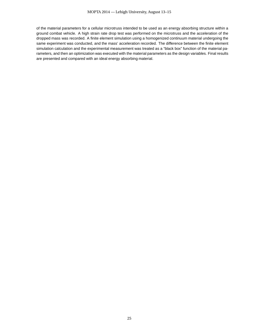of the material parameters for a cellular microtruss intended to be used as an energy absorbing structure within a ground combat vehicle. A high strain rate drop test was performed on the microtruss and the acceleration of the dropped mass was recorded. A finite element simulation using a homogenized continuum material undergoing the same experiment was conducted, and the mass' acceleration recorded. The difference between the finite element simulation calculation and the experimental measurement was treated as a "black box" function of the material parameters, and then an optimization was executed with the material parameters as the design variables. Final results are presented and compared with an ideal energy absorbing material.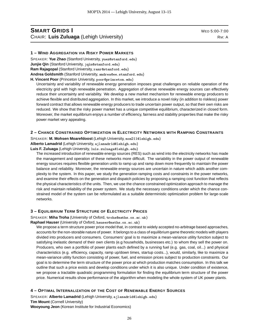# <span id="page-26-0"></span>**SMART GRIDS I** <sup>W</sup>ED 5:00-7:00 **CHAIR: Luis Zuluaga** (Lehigh University) **RM: A** RM: A

#### **1 – WIND AGGREGATION VIA RISKY POWER MARKETS**

SPEAKER: Yue Zhao (Stanford University, yuez@stanford.edu[\)](mailto:yuez@stanford.edu) **Junjie Qin** (Stanford University, jqin@stanford.edu) Ram Rajagopal (Stanford University, ramr@stanford.edu) Andrea Goldsmith (Stanford University, andrea@ee.stanford.edu) H. Vincent Poor (Princeton University, poor@princeton.edu)

Uncertainty and variability of renewable energy generation imposes great challenges on reliable operation of the electricity grid with high renewable penetration. Aggregation of diverse renewable energy sources can effectively reduce their uncertainty and variability. We develop a new market mechanism for renewable energy producers to achieve flexible and distributed aggregation. In this market, we introduce a novel risky (in addition to riskless) power forward contract that allows renewable energy producers to trade uncertain power output, so that their own risks are reduced. We show that the risky power market has a unique competitive equilibrium, characterized in closed form. Moreover, the market equilibrium enjoys a number of efficiency, fairness and stability properties that make the risky power market very appealing.

#### **2 – CHANCE CONSTRAINED OPTIMIZATION IN ELECTRICITY NETWORKS WITH RAMPING CONSTRAINTS**

SPEAKER: M. Mohsen Moarefdoost (Lehigh University, mom211@lehigh.edu)

Alberto Lamadrid (Lehigh University, ajlamadrid@lehigh.edu)

Luis F. Zuluaga (Lehigh University, luis.zuluaga@lehigh.edu)

The increased introduction of renewable energy sources (RES) such as wind into the electricity networks has made the management and operation of these networks more difficult. The variability in the power output of renewable energy sources requires flexible generation units to ramp up and ramp down more frequently to maintain the power balance and reliability. Moreover, the renewable energy sources are uncertain in nature which adds another complexity to the system. In this paper, we study the generation ramping costs and constraints in the power networks, and examine their effects on the generation and dispatch policies by proposing a ramping cost function that reflects the physical characteristics of the units. Then, we use the chance constrained optimization approach to manage the risk and maintain reliability of the power system. We study the necessary conditions under which the chance constrained model of the system can be reformulated as a suitable deterministic optimization problem for large-scale networks.

#### **3 – EQUILIBRIUM TERM STRUCTURE OF ELECTRICITY PRICES**

SPEAKER: Miha Troha (University of Oxford, troha@maths.ox.ac.uk)

Raphael Hauser (University of Oxford, hauser@maths.ox.ac.uk)

We propose a term structure power price model that, in contrast to widely accepted no-arbitrage based approaches, accounts for the non-storable nature of power. It belongs to a class of equilibrium game theoretic models with players divided into producers and consumers. Consumers' goal is to maximize a mean-variance utility function subject to satisfying inelastic demand of their own clients (e.g households, businesses etc.) to whom they sell the power on. Producers, who own a portfolio of power plants each defined by a running fuel (e.g. gas, coal, oil...) and physical characteristics (e.g. efficiency, capacity, ramp up/down times, startup costs...), would, similarly, like to maximize a mean-variance utility function consisting of power, fuel, and emission prices subject to production constraints. Our goal is to determine the term structure of the power price at which production matches consumption. In this talk we outline that such a price exists and develop conditions under which it is also unique. Under condition of existence, we propose a tractable quadratic programming formulation for finding the equilibrium term structure of the power price. Numerical results show performance of the algorithm when modeling the whole system of UK power plants.

#### **4 – OPTIMAL INTERNALIZATION OF THE COST OF RENEWABLE ENERGY SOURCES**

SPEAKER: **Alberto Lamadrid** (Lehigh University, a jlamadrid@lehigh.edu[\)](mailto:ajlamadrid@lehigh.edu) **Tim Mount** (Cornell University) **Wooyoung Jeon** (Korean Institute for Industrial Economics)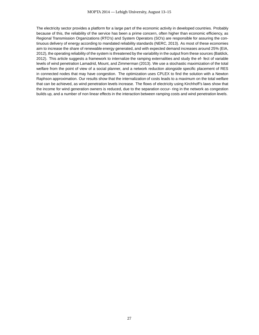The electricity sector provides a platform for a large part of the economic activity in developed countries. Probably because of this, the reliability of the service has been a prime concern, often higher than economic efficiency, as Regional Transmission Organizations (RTO's) and System Operators (SO's) are responsible for assuring the continuous delivery of energy according to mandated reliability standards (NERC, 2013). As most of these economies aim to increase the share of renewable energy generated, and with expected demand increases around 25% (EIA, 2012), the operating reliability of the system is threatened by the variability in the output from these sources (Baldick, 2012). This article suggests a framework to internalize the ramping externalities and study the ef- fect of variable levels of wind penetration Lamadrid, Mount, and Zimmerman (2013). We use a stochastic maximization of the total welfare from the point of view of a social planner, and a network reduction alongside specific placement of RES in connected nodes that may have congestion. The optimization uses CPLEX to find the solution with a Newton Raphson approximation. Our results show that the internalization of costs leads to a maximum on the total welfare that can be achieved, as wind penetration levels increase. The flows of electricity using Kirchhoff's laws show that the income for wind generation owners is reduced, due to the separation occur- ring in the network as congestion builds up, and a number of non linear effects in the interaction between ramping costs and wind penetration levels.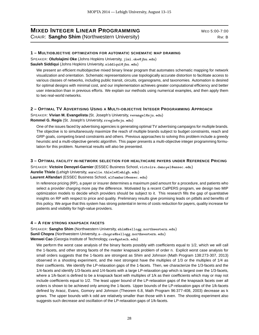# <span id="page-28-0"></span>**MIXED INTEGER LINEAR PROGRAMMING** <sup>W</sup>ED 5:00-7:00 **CHAIR: Sangho Shim (Northwestern University)** RM: B RM: B

#### **1 – MULTIOBJECTIVE OPTIMIZATION FOR AUTOMATIC SCHEMATIC MAP DRAWING**

SPEAKER: **Olufolajimi Oke** (Johns Hopkins University, jimi.oke@jhu.edu) Sauleh Siddiqui (Johns Hopkins University, siddiqui@jhu.edu)

We present an efficient multiobjective mixed binary linear program that automates schematic mapping for network visualization and orientation. Schematic representations use topologically accurate distortion to facilitate access to various classes of networks, including public transit, circuits, organograms, and taxonomies. Automation is desired for optimal designs with minimal cost, and our implementation achieves greater computational efficiency and better user interaction than in previous efforts. We explain our methods using numerical examples, and then apply them to two real-world networks.

#### **2 – OPTIMAL TV ADVERTISING USING A MULTI-OBJECTIVE INTEGER PROGRAMMING APPROACH**

SPEAKER: Vivian M. Evangelista (St. Joseph's University, vevangel @sju.edu[\)](mailto:vevangel@sju.edu) **Rommel G. Regis** (St. Joseph's University, rregis@sju.edu)

One of the issues faced by advertising agencies is generating optimal TV advertising campaigns for multiple brands. The objective is to simultaneously maximize the reach of multiple brands subject to budget constraints, reach and GRP goals, competing brand constraints and others. Previous approaches to solving this problem include a greedy heuristic and a multi-objective genetic algorithm. This paper presents a multi-objective integer programming formulation for this problem. Numerical results will also be presented.

#### **3 – OPTIMAL FACILITY IN-NETWORK SELECTION FOR HEALTHCARE PAYERS UNDER REFERENCE PRICING**

SPEAKER: Victoire Denoyel-Garnier (ESSEC Business School, victoire.denoyel@essec.edu) Aurelie Thiele (Lehigh University, aurelie.thiele@lehigh.edu)

Laurent Alfandari (ESSEC Business School, alfandari@essec.edu)

In reference pricing (RP), a payer or insurer determines a maximum paid amount for a procedure, and patients who select a provider charging more pay the difference. Motivated by a recent CalPERS program, we design two MIP optimization models to decide which providers should be subject to it. This research fills the gap of quantitative insights on RP with respect to price and quality. Preliminary results give promising leads on pitfalls and benefits of this policy. We argue that this system has strong potential in terms of costs reduction for payers, quality increase for patients and visibility for high-value providers.

#### **4 – A FEW STRONG KNAPSACK FACETS**

SPEAKER: **Sangho Shim** (Northwestern University, shim@kellogg.northwestern.edu) Sunil Chopra (Northwestern University, s-chopra@kellogg.northwestern.edu) Wenwei Cao (Georgia Institute of Technology, cww@gatech.edu[\)](mailto:cww@gatech.edu)

We perform the worst case analysis of the binary facets possibly with coefficients equal to 1/2, which we will call the 1-facets, and other strong facets of the master knapsack problem of order n. Explicit worst case analysis for small orders suggests that the 1-facets are strongest as Shim and Johnson (Math Program 138:273-307, 2013) observed in a shooting experiment, and the next strongest have the multiples of 1/3 or the multiples of 1/4 as their coefficients. We identify the LP-relaxation gaps of the 1-facets. Then, we characterize the 1/3-facets and the 1/4-facets and identify 1/3-facets and 1/4-facets with a large LP-relaxation gap which is largest over the 1/3-facets, where a 1/k-facet is defined to be a knapsack facet with multiples of 1/k as their coefficients which may or may not include coefficients equal to 1/2. The least upper bound of the LP-relaxation gaps of the knapsack facets over all orders is shown to be achieved only among the 1-facets. Upper bounds of the LP-relaxation gaps of the 1/k-facets defined by Araoz, Evans, Gomory and Johnson (Theorem 6.8, Math Program 96:377-408, 2003) decrease as k grows. The upper bounds with k odd are relatively smaller than those with k even. The shooting experiment also suggests such decrease and oscillation of the LP-relaxation gaps of 1/k-facets.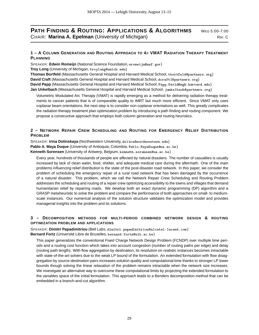# <span id="page-29-0"></span>**PATH FINDING & ROUTING: APPLICATIONS & ALGORITHMS** <sup>W</sup>ED 5:00-7:00 CHAIR: **Marina A. Epelman** (University of Michigan) RM: C

#### **1 – A COLUMN GENERATION AND ROUTING APPROACH TO 4***π* **VMAT RADIATION THERAPY TREATMENT PLANNING**

SPEAKER: Edwin Romeijn (National Science Foundation, eromei jn@nsf.gov[\)](mailto:eromeijn@nsf.gov)

**Troy Long** (University of Michigan, troylong@umich.edu)

**Thomas Bortfeld** (Massachusetts General Hospital and Harvard Medical School, [tbortfeldpartners.org](mailto:tbortfeld@partners.org))

David Craft (Massachusetts General Hospital and Harvard Medical School, dcraft1@partners.org)

David Papp (Massachusetts General Hospital and Harvard Medical School, Papp.David@mgh.harvard.edu)

Jan Unkelbach (Massachusetts General Hospital and Harvard Medical School, junkelbach@partners.org)

Volumetric Modulated Arc Therapy (VMAT) is rapidly emerging as a method for delivering radiation therapy treatments to cancer patients that is of comparable quality to IMRT but much more efficient. Since VMAT only uses coplanar beam orientations, the next step is to consider non-coplanar orientations as well. This greatly complicates the radiation therapy treatment plan optimization problem by introducing a path finding and routing component. We propose a constructive approach that employs both column generation and routing heuristics.

#### **2 – NETWORK REPAIR CREW SCHEDULING AND ROUTING FOR EMERGENCY RELIEF DISTRIBUTION PROBLEM**

SPEAKER: Irina Dolinskaya (Northwestern University, dolira@northwestern.edu) Pablo A. Maya Duque (University of Antioquia, Colombia, Pablo .MayaDuque@ua.ac.be) Kenneth Sorensen (University of Antwerp, Belgium, kenneth.sorensen@ua.ac.be)

Every year, hundreds of thousands of people are affected by natural disasters. The number of casualties is usually increased by lack of clean water, food, shelter, and adequate medical care during the aftermath. One of the main problems influencing relief distribution is the state of the post-disaster road network. In this paper, we consider the problem of scheduling the emergency repair of a rural road network that has been damaged by the occurrence of a natural disaster. This problem, which we call the Network Repair Crew Scheduling and Routing Problem addresses the scheduling and routing of a repair crew optimizing accessibility to the towns and villages that demand humanitarian relief by repairing roads. We develop both an exact dynamic programming (DP) algorithm and a GRASP metaheuristic to solve the problem and compare the performance of both approaches on small- to mediumscale instances. Our numerical analysis of the solution structure validates the optimization model and provides managerial insights into the problem and its solutions.

#### **3 – DECOMPOSITION METHODS FOR MULTI-PERIOD COMBINED NETWORK DESIGN & ROUTING OPTIMIZATION PROBLEM AND APPLICATIONS**

SPEAKER: Dimitri Papadimitriou (Bell Labs, dimitri.papadimitriou@alcatel-lucent.com) Bernard Fortz (Université Libre de Bruxelles, bernard.fortz@ulb.ac.be)

This paper generalizes the conventional Fixed Charge Network Design Problem (FCNDP) over multiple time periods and a routing cost function which takes into account congestion (number of routing paths per edge) and delay (routing path length). With flow aggregation by destination, its resolution on realistic instances becomes intractable with state-of-the-art solvers due to the weak LP bound of the formulation. An extended formulation with flow disaggregation by source-destination pairs increases solution quality and computational time thanks to stronger LP lower bounds though solving the linear relaxation of the problem remains intractable when the network size increases. We investigate an alternative way to overcome these computational limits by projecting the extended formulation to the variables space of the initial formulation. This approach leads to a Benders decomposition method that can be embedded in a branch-and-cut algorithm.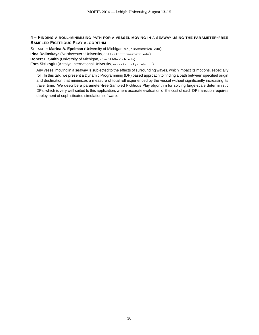#### <span id="page-30-0"></span>**4 – FINDING A ROLL-MINIMIZING PATH FOR A VESSEL MOVING IN A SEAWAY USING THE PARAMETER-FREE SAMPLED FICTITIOUS PLAY ALGORITHM**

SPEAKER: Marina A. Epelman (University of Michigan, mepelman@umich.edu)

**Irina Dolinskaya** (Northwestern University, dolira@northwestern.edu)

Robert L. Smith (University of Michigan, rlsmith@umich.edu)

**Esra Sisikoglu** (Antalya International University, esras@antalya.edu.tr)

Any vessel moving in a seaway is subjected to the effects of surrounding waves, which impact its motions, especially roll. In this talk, we present a Dynamic Programming (DP) based approach to finding a path between specified origin and destination that minimizes a measure of total roll experienced by the vessel without significantly increasing its travel time. We describe a parameter-free Sampled Fictitious Play algorithm for solving large-scale deterministic DPs, which is very well suited to this application, where accurate evaluation of the cost of each DP transition requires deployment of sophisticated simulation software.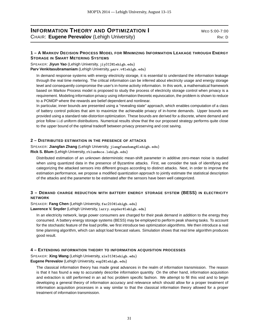# <span id="page-31-0"></span>**INFORMATION THEORY AND OPTIMIZATION I** WED 5:00-7:00 CHAIR: **Eugene Perevalov** (Lehigh University) **RM: D** RM: D

#### **1 – A MARKOV DECISION PROCESS MODEL FOR MINIMIZING INFORMATION LEAKAGE THROUGH ENERGY STORAGE IN SMART METERING SYSTEMS**

SPEAKER: **Jiyun Yao** (Lehigh University, jiy312@lehigh.edu[\)](mailto:jiy312@lehigh.edu)

Parv Venkitasubramaniam (Lehigh University, parv.v@lehigh.edu[\)](mailto:parv.v@lehigh.edu)

In demand response systems with energy electricity storage, it is essential to understand the information leakage through the real time metering. The critical information can be inferred about electricity usage and energy storage level and consequently compromise the user's in-home activity information. In this work, a mathematical framework based on Markov Process model is proposed to study the process of electricity storage control when privacy is a requirement. Modeling information privacy using information theoretic equivocation, the problem is shown to reduce to a POMDP where the rewards are belief dependent and nonlinear.

In particular, inner bounds are presented using a "revealing state" approach, which enables computation of a class of battery control policies that aim to maximize the achievable privacy of in-home demands. Upper bounds are provided using a standard rate-distortion optimization. These bounds are derived for a discrete, where demand and price follow i.i.d uniform distributions. Numerical results show that the our proposed strategy performs quite close to the upper bound of the optimal tradeoff between privacy preserving and cost saving.

#### **2 – DISTRIBUTED ESTIMATION IN THE PRESENCE OF ATTACKS**

SPEAKER: **Jiangfan Zhang** (Lehigh University, jiangfanzhang@lehigh.edu)

Rick S. Blum (Lehigh University, rblum@ece.lehigh.edu)

Distributed estimation of an unknown deterministic mean-shift parameter in additive zero-mean noise is studied when using quantized data in the presence of Byzantine attacks. First, we consider the task of identifying and categorizing the attacked sensors into different groups according to distinct attacks. Next, in order to improve the estimation performance, we propose a modified quantization approach to jointly estimate the statistical description of the attacks and the parameter to be estimated after the sensors have been well categorized.

#### **3 – DEMAND CHARGE REDUCTION WITH BATTERY ENERGY STORAGE SYSTEM (BESS) IN ELECTRICITY NETWORK**

SPEAKER: Fang Chen (Lehigh University, fac210@lehigh.edu[\)](mailto:fac210@lehigh.edu) Lawrence V. Snyder (Lehigh University, larry.snyder@lehigh.edu)

In an electricity network, large power consumers are charged for their peak demand in addition to the energy they consumed. A battery energy storage systems (BESS) may be employed to perform peak shaving tasks. To account for the stochastic feature of the load profile, we first introduce two optimization algorithms. We then introduce a real time planning algorithm, which can adopt load forecast values. Simulation shows that real time algorithm produces good result.

#### **4 – EXTENDING INFORMATION THEORY TO INFORMATION ACQUISITION PROCESSES**

SPEAKER: Xing Wang (Lehigh University, xiw313@lehigh.edu) **Eugene Perevalov** (Lehigh University, eup201ehigh.edu)

The classical information theory has made great advances in the realm of information transmission. The reason is that it has found a way to accurately describe information quantity. On the other hand, information acquisition and extraction is still performed in an ad hoc problem specific fashion. We attempt to fill this void and to begin developing a general theory of information accuracy and relevance which should allow for a proper treatment of information acquisition processes in a way similar to that the classical information theory allowed for a proper treatment of information transmission.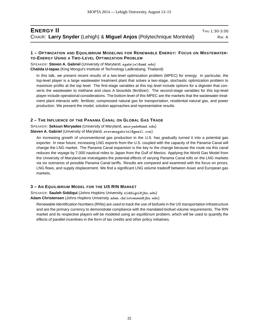<span id="page-32-0"></span>

| <b>ENERGY II</b>                                                     | THU 1:30-3:00 |
|----------------------------------------------------------------------|---------------|
| CHAIR: Larry Snyder (Lehigh) & Miguel Anjos (Polytechnique Montréal) | RM: A         |

#### **1 – OPTIMIZATION AND EQUILIBRIUM MODELING FOR RENEWABLE ENERGY: FOCUS ON WASTEWATER-TO-ENERGY USING A TWO-LEVEL OPTIMIZATION PROBLEM**

SPEAKER: Steven A. Gabriel (University of Maryland, sgabriel@umd.edu[\)](mailto:sgabriel@umd.edu)

**Chalida U-tapao** (King Mongut's Institute of Technology Ladkrabang, Thailand)

In this talk, we present recent results of a two-level optimization problem (MPEC) for energy. In particular, the top-level player is a large wastewater treatment plant that solves a two-stage, stochastic optimization problem to maximize profits at the top level. The first-stage variables at this top level include options for a digester that converts the wastewater to methane and class A biosolids (fertilizer). The second-stage variables for this top-level player include operational considerations. The bottom level of this MPEC are the markets that the wastewater treatment plant interacts with: fertilizer, compressed natural gas for transportation, residential natural gas, and power production. We present the model, solution approaches and representative results.

#### **2 – THE INFLUENCE OF THE PANAMA CANAL ON GLOBAL GAS TRADE**

SPEAKER: Seksun Moryadee (University of Maryland, smoryade@umd.edu[\)](mailto:smoryade@umd.edu)

**Steven A. Gabriel** (University of Maryland, stevenagabriel@gmail.com)

An increasing growth of unconventional gas production in the U.S. has gradually turned it into a potential gas exporter. In near future, increasing LNG exports from the U.S. coupled with the capacity of the Panama Canal will change the LNG market. The Panama Canal expansion is the key to the change because the route via this canal reduces the voyage by 7,000 nautical miles to Japan from the Gulf of Mexico. Applying the World Gas Model from the University of Maryland,we investigates the potential effects of varying Panama Canal tolls on the LNG markets via six scenarios of possible Panama Canal tariffs. Results are compared and examined with the focus on prices, LNG flows, and supply displacement. We find a significant LNG volume tradeoff between Asian and European gas markets.

#### **3 – AN EQUILIBRIUM MODEL FOR THE US RIN MARKET**

SPEAKER: Sauleh Siddiqui (Johns Hopkins University, siddiqui@jhu.edu[\)](mailto:siddiqui@jhu.edu) Adam Christensen (Johns Hopkins University, adam.christensen@jhu.edu)

Renewable Identification Numbers (RINs) are used to track the use of biofuels in the US transportation infrastructure and are the primary currency to demonstrate compliance with the mandated biofuel volume requirements. The RIN market and its respective players will be modeled using an equilibrium problem, which will be used to quantify the effects of parallel incentives in the form of tax credits and other policy initiatives.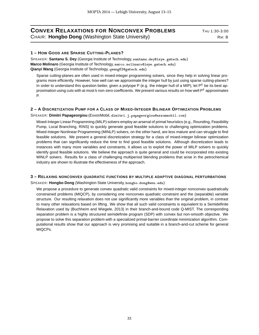### <span id="page-33-0"></span>**CONVEX RELAXATIONS FOR NONCONVEX PROBLEMS** THU 1:30-3:00 CHAIR: **Hongbo Dong** (Washington State University) RM: B RM: B

#### **1 – HOW GOOD ARE SPARSE CUTTING-PLANES?**

SPEAKER: Santanu S. Dey (Georgia Institute of Technology, santanu.dey@isye.gatech.edu) Marco Molinaro (Georgia Institute of Technology, marco.molinaro@isye.gatech.edu) **Qianyi Wang** (Georgia Institute of Technology, qwang62gate
h.edu[\)](mailto:qwang62@gatech.edu)

Sparse cutting-planes are often used in mixed-integer programming solvers, since they help in solving linear programs more efficiently. However, how well can we approximate the integer hull by just using sparse cutting-planes? In order to understand this question better, given a polyope P (e.g. the integer hull of a MIP), let  $P^k$  be its best approximation using cuts with at most k non-zero coefficients. We present various results on how well P*<sup>k</sup>* approximates P.

#### **2 – A DISCRETIZATION PUMP FOR A CLASS OF MIXED-INTEGER BILINEAR OPTIMIZATION PROBLEMS**

SPEAKER: Dimitri Papageorgiou (ExxonMobil, dimitri.j. papageorgiou@exxonmobil.com)

Mixed-Integer Linear Programming (MILP) solvers employ an arsenal of primal heuristics (e.g., Rounding, Feasibility Pump, Local Branching, RINS) to quickly generate good feasible solutions to challenging optimization problems. Mixed-Integer Nonlinear Programming (MINLP) solvers, on the other hand, are less mature and can struggle to find feasible solutions. We present a general discretization strategy for a class of mixed-integer bilinear optimization problems that can significantly reduce the time to find good feasible solutions. Although discretization leads to instances with many more variables and constraints, it allows us to exploit the power of MILP solvers to quickly identify good feasible solutions. We believe the approach is quite general and could be incorporated into existing MINLP solvers. Results for a class of challenging multiperiod blending problems that arise in the petrochemical industry are shown to illustrate the effectiveness of the approach.

#### **3 – RELAXING NONCONVEX QUADRATIC FUNCTIONS BY MULTIPLE ADAPTIVE DIAGONAL PERTURBATIONS**

SPEAKER: Hongbo Dong (Washington State University, hongbo.dong@wsu.edu[\)](mailto:hongbo.dong@wsu.edu)

We propose a procedure to generate convex quadratic valid constraints for mixed-integer nonconvex quadratically constrained problems (MIQCP), by considering one nonconvex quadratic constraint and the (separable) variable structure. Our resulting relaxation does not use significantly more variables than the original problem, in contrast to many other relaxations based on lifting. We show that all such valid constraints is equivalent to a Semidefinite Relaxation used by (Buchheim and Wiegele, 2013) in their branch-and-bound code Q-MIST. The corresponding separation problem is a highly structured semidefinite program (SDP) with convex but non-smooth objective. We propose to solve this separation problem with a specialized primal-barrier coordinate minimization algorithm. Computational results show that our approach is very promising and suitable in a branch-and-cut scheme for general MIQCPs.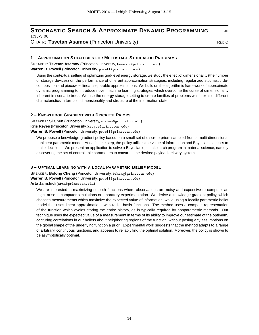#### <span id="page-34-0"></span>**STOCHASTIC SEARCH & APPROXIMATE DYNAMIC PROGRAMMING** <sup>T</sup>HU 1:30-3:00

**CHAIR: Tsvetan Asamov** (Princeton University) RM: C

#### **1 – APPROXIMATION STRATEGIES FOR MULTISTAGE STOCHASTIC PROGRAMS**

SPEAKER: Tsvetan Asamov (Princeton University, tasamov@princeton.edu) Warren B. Powell (Princeton University, powell@princeton.edu)

Using the contextual setting of optimizing grid-level energy storage, we study the effect of dimensionality (the number of storage devices) on the performance of different approximation strategies, including regularized stochastic decomposition and piecewise linear, separable approximations. We build on the algorithmic framework of approximate dynamic programming to introduce novel machine learning strategies which overcome the curse of dimensionality inherent in scenario trees. We use the energy storage setting to create families of problems which exhibit different characteristics in terms of dimensionality and structure of the information state.

#### **2 – KNOWLEDGE GRADIENT WITH DISCRETE PRIORS**

SPEAKER: Si Chen (Princeton University, sichen@princeton.edu) Kris Reyes (Princeton University, kreyes@princeton.edu) Warren B. Powell (Princeton University, powell@princeton.edu)

We propose a knowledge-gradient policy based on a small set of discrete priors sampled from a multi-dimensional nonlinear parametric model. At each time step, the policy utilizes the value of information and Bayesian statistics to make decisions. We present an application to solve a Bayesian optimal search program in material science, namely discovering the set of controllable parameters to construct the desired payload delivery system.

#### **3 – OPTIMAL LEARNING WITH A LOCAL PARAMETRIC BELIEF MODEL**

SPEAKER: Bolong Cheng (Princeton University, bcheng@princeton.edu) Warren B. Powell (Princeton University, powell@princeton.edu) Arta Jamshidi (arta@princeton.edu[\)](mailto:arta@princeton.edu)

We are interested in maximizing smooth functions where observations are noisy and expensive to compute, as might arise in computer simulations or laboratory experimentation. We derive a knowledge gradient policy, which chooses measurements which maximize the expected value of information, while using a locally parametric belief model that uses linear approximations with radial basis functions. The method uses a compact representation of the function which avoids storing the entire history, as is typically required by nonparametric methods. Our technique uses the expected value of a measurement in terms of its ability to improve our estimate of the optimum, capturing correlations in our beliefs about neighboring regions of the function, without posing any assumptions on the global shape of the underlying function a priori. Experimental work suggests that the method adapts to a range of arbitrary, continuous functions, and appears to reliably find the optimal solution. Moreover, the policy is shown to be asymptotically optimal.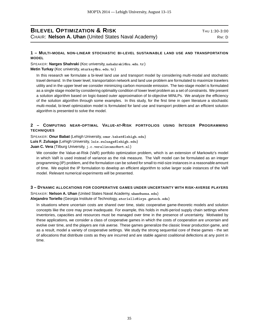# <span id="page-35-0"></span>**BILEVEL OPTIMIZATION & RISK** THU 1:30-3:00 CHAIR: **Nelson A. Uhan** (United States Naval Academy) RM: D

#### **1 – MULTI-MODAL NON-LINEAR STOCHASTIC BI-LEVEL SUSTAINABLE LAND USE AND TRANSPORTATION MODEL**

SPEAKER: **Narges Shahraki** (Koc university, nshahraki@ku.edu.tr) **Metin Turkay** (Koc university, mturkay@ku.edu.tr)

In this research we formulate a bi-level land use and transport model by considering multi-modal and stochastic travel demand. In the lower level, transportation network and land use problem are formulated to maximize travelers utility and in the upper level we consider minimizing carbon monoxide emission. The two-stage model is formulated as a single stage model by considering optimality condition of lower level problem as a set of constraints. We present a solution algorithm based on logic-based outer approximation of bi-objective MINLPs. We analyze the efficiency of the solution algorithm through some examples. In this study, for the first time in open literature a stochastic multi-modal, bi-level optimization model is formulated for land use and transport problem and an efficient solution algorithm is presented to solve the model.

#### **2 – COMPUTING NEAR-OPTIMAL VALUE-AT-RISK PORTFOLIOS USING INTEGER PROGRAMMING TECHNIQUES**

SPEAKER: **Onur Babat** (Lehigh University, onur.babat@lehigh.edu) Luis F. Zuluaga (Lehigh University, luis.zuluaga@lehigh.edu) Juan C. Vera (Tilburg University, j.c. veralizcano Quvt.nl)

We consider the Value-at-Risk (VaR) portfolio optimization problem, which is an extension of Markowitz's model in which VaR is used instead of variance as the risk measure. The VaR model can be formulated as an integer programming (IP) problem, and the formulation can be solved for small to mid-size instances in a reasonable amount of time. We exploit the IP formulation to develop an efficient algorithm to solve larger scale instances of the VaR model. Relevant numerical experiments will be presented.

#### **3 – DYNAMIC ALLOCATIONS FOR COOPERATIVE GAMES UNDER UNCERTAINTY WITH RISK-AVERSE PLAYERS**

SPEAKER: Nelson A. Uhan (United States Naval Academy, uhan@usna.edu[\)](mailto:uhan@usna.edu)

Alejandro Toriello (Georgia Institute of Technology, atoriello@isye.gatech.edu)

In situations where uncertain costs are shared over time, static cooperative game-theoretic models and solution concepts like the core may prove inadequate. For example, this holds in multi-period supply chain settings where inventories, capacities and resources must be managed over time in the presence of uncertainty. Motivated by these applications, we consider a class of cooperative games in which the costs of cooperation are uncertain and evolve over time, and the players are risk averse. These games generalize the classic linear production game, and as a result, model a variety of cooperative settings. We study the strong sequential core of these games - the set of allocations that distribute costs as they are incurred and are stable against coalitional defections at any point in time.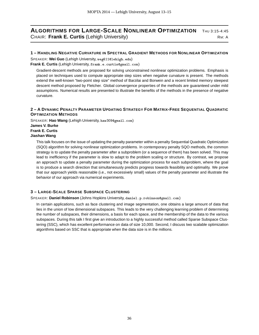# <span id="page-36-0"></span>**ALGORITHMS FOR LARGE-SCALE NONLINEAR OPTIMIZATION** <sup>T</sup>HU 3:15-4:45 CHAIR: Frank E. Curtis (Lehigh University) RM: A

#### **1 – HANDLING NEGATIVE CURVATURE IN SPECTRAL GRADIENT METHODS FOR NONLINEAR OPTIMIZATION**

SPEAKER: Wei Guo (Lehigh University, weg411@lehigh.edu)

Frank E. Curtis (Lehigh University, frank.e. curtis@gmail.com)

Gradient-descent methods are proposed for solving unconstrained nonlinear optimization problems. Emphasis is placed on techniques used to compute appropriate step sizes when negative curvature is present. The methods extend the well-known "two-point step size" method of Barzilai and Borwein and a recent limited memory steepest descent method proposed by Fletcher. Global convergence properties of the methods are guaranteed under mild assumptions. Numerical results are presented to illustrate the benefits of the methods in the presence of negative curvature.

#### 2 - A DYNAMIC PENALTY PARAMETER UPDATING STRATEGY FOR MATRIX-FREE SEQUENTIAL QUADRATIC **OPTIMIZATION METHODS**

SPEAKER: Hao Wang (Lehigh University, haw3090gmail.com) **James V. Burke Frank E. Curtis Jiashan Wang**

This talk focuses on the issue of updating the penalty parameter within a penalty Sequential Quadratic Optimization (SQO) algorithm for solving nonlinear optimization problems. In contemporary penalty SQO methods, the common strategy is to update the penalty parameter after a subproblem (or a sequence of them) has been solved. This may lead to inefficiency if the parameter is slow to adapt to the problem scaling or structure. By contrast, we propose an approach to update a penalty parameter during the optimization process for each subproblem, where the goal is to produce a search direction that simultaneously predicts progress towards feasibility and optimality. We prove that our approach yields reasonable (i.e., not excessively small) values of the penalty parameter and illustrate the behavior of our approach via numerical experiments.

#### **3 – LARGE-SCALE SPARSE SUBSPACE CLUSTERING**

SPEAKER: Daniel Robinson (Johns Hopkins University, daniel.p.robinson@gmail.com)

In certain applications, such as face clustering and image segmentation, one obtains a large amount of data that lies in the union of low dimensional subspaces. This leads to the very challenging learning problem of determining the number of subspaces, their dimensions, a basis for each space, and the membership of the data to the various subspaces. During this talk I first give an introduction to a highly successful method called Sparse Subspace Clustering (SSC), which has excellent performance on data of size 10,000. Second, I discuss two scalable optimization algorithms based on SSC that is appropriate when the data size is in the millions.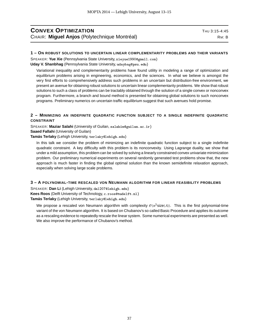# <span id="page-37-0"></span>**CONVEX OPTIMIZATION CONVEX OPTIMIZATION** CHAIR: **Miguel Anjos** (Polytechnique Montréal) RM: B

#### **1 – ON ROBUST SOLUTIONS TO UNCERTAIN LINEAR COMPLEMENTARITY PROBLEMS AND THEIR VARIANTS**

SPEAKER: Yue Xie (Pennsylvania State University, xieyue1990@gmail.com) **Uday V. Shanbhag** (Pennsylvania State University, udaybag@psu.edu)

Variational inequality and complementarity problems have found utility in modeling a range of optimization and equilibrium problems arising in engineering, economics, and the sciences. In what we believe is amongst the very first efforts to comprehensively address such problems in an uncertain but distribution-free environment, we present an avenue for obtaining robust solutions to uncertain linear complementarity problems. We show that robust solutions to such a class of problems can be tractably obtained through the solution of a single convex or nonconvex program. Furthermore, a branch and bound method is presented for obtaining global solutions to such nonconvex programs. Preliminary numerics on uncertain traffic equilibrium suggest that such avenues hold promise.

#### **2 – MINIMIZING AN INDEFINITE QUADRATIC FUNCTION SUBJECT TO A SINGLE INDEFINITE QUADRATIC CONSTRAINT**

SPEAKER: Maziar Salahi (University of Guilan, salahim@guilan.ac.ir) **Saaed Fallahi** (University of Guilan)

Tamás Terlaky (Lehigh University, terlaky@lehigh.edu)

In this talk we consider the problem of minimizing an indefinite quadratic function subject to a single indefinite quadratic constraint. A key difficulty with this problem is its nonconvexity. Using Lagrange duality, we show that under a mild assumption, this problem can be solved by solving a linearly constrained convex univariate minimization problem. Our preliminary numerical experiments on several randomly generated test problems show that, the new approach is much faster in finding the global optimal solution than the known semidefinite relaxation approach, especially when solving large scale problems.

#### **3 – A POLYNOMIAL-TIME RESCALED VON NEUMANN ALGORITHM FOR LINEAR FEASIBILITY PROBLEMS**

SPEAKER: Dan Li (Lehigh University, dal207@lehigh.edu[\)](mailto:dal207@lehigh.edu) Kees Roos (Delft University of Technology, c.roos@tudelft.nl[\)](mailto:c.roos@tudelft.nl) Tamás Terlaky (Lehigh University, terlaky@lehigh.edu)

We propose a rescaled von Neumann algorithm with complexity  $\mathscr{O}(n^5$ size(A)). This is the first polynomial-time variant of the von Neumann algorithm. It is based on Chubanov's so called Basic Procedure and applies its outcome as a rescaling evidence to repeatedly rescale the linear system. Some numerical experiments are presented as well. We also improve the performance of Chubanov's method.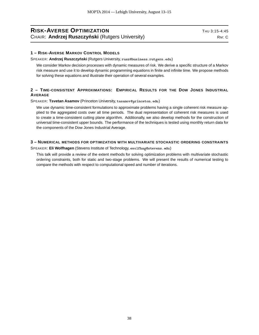### <span id="page-38-0"></span>**RISK-AVERSE OPTIMIZATION** THU 3:15-4:45 CHAIR: **Andrzej Ruszczyński** (Rutgers University) RM: C

#### **1 – RISK-AVERSE MARKOV CONTROL MODELS**

SPEAKER: **Andrzej Ruszczynski ´** (Rutgers University, [ruszbusiness.rutgers.edu](mailto:rusz@business.rutgers.edu))

We consider Markov decision processes with dynamic measures of risk. We derive a specific structure of a Markov risk measure and use it to develop dynamic programming equations in finite and infinite time. We propose methods for solving these equations and illustrate their operation of several examples.

#### **2 – TIME-CONSISTENT APPROXIMATIONS: EMPIRICAL RESULTS FOR THE DOW JONES INDUSTRIAL AVERAGE**

SPEAKER: Tsvetan Asamov (Princeton University, tasamov@princeton.edu)

We use dynamic time-consistent formulations to approximate problems having a single coherent risk measure applied to the aggregated costs over all time periods. The dual representation of coherent risk measures is used to create a time-consistent cutting plane algorithm. Additionally, we also develop methods for the construction of universal time-consistent upper bounds. The performance of the techniques is tested using monthly return data for the components of the Dow Jones Industrial Average.

#### **3 – NUMERICAL METHODS FOR OPTIMIZATION WITH MULTIVARIATE STOCHASTIC ORDERING CONSTRAINTS**

SPEAKER: Eli Wolfhagen (Stevens Institute of Technology, ewolfhag@stevens.edu)

This talk will provide a review of the extent methods for solving optimization problems with multivariate stochastic ordering constraints, both for static and two-stage problems. We will present the results of numerical testing to compare the methods with respect to computational speed and number of iterations.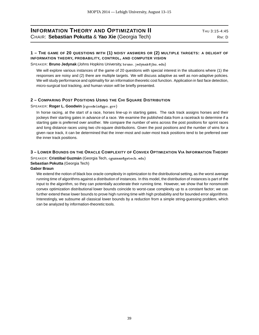<span id="page-39-0"></span>

| <b>INFORMATION THEORY AND OPTIMIZATION II</b>     | THU 3:15-4:45 |
|---------------------------------------------------|---------------|
| CHAIR: Sebastian Pokutta & Yao Xie (Georgia Tech) | RM: D         |

#### **1 – THE GAME OF 20 QUESTIONS WITH (1) NOISY ANSWERS OR (2) MULTIPLE TARGETS: A DELIGHT OF INFORMATION THEORY, PROBABILITY, CONTROL, AND COMPUTER VISION**

SPEAKER: Bruno Jedynak (Johns Hopkins University, bruno.jedynak@jhu.edu)

We will explore various instances of the game of 20 questions with special interest in the situations where (1) the responses are noisy and (2) there are multiple targets. We will discuss adaptive as well as non-adaptive policies. We will study performance and optimality for an information theoretic cost function. Application in fast face detection, micro-surgical tool tracking, and human vision will be briefly presented.

#### **2 – COMPARING POST POSITIONS USING THE CHI SQUARE DISTRIBUTION**

#### SPEAKER: **Roger L. Goodwin** ([rgoodwingpo.gov](mailto:rgoodwin@gpo.gov))

In horse racing, at the start of a race, horses line-up in starting gates. The rack track assigns horses and their jockeys their starting gates in advance of a race. We examine the published data from a racetrack to determine if a starting gate is preferred over another. We compare the number of wins across the post positions for sprint races and long distance races using two chi-square distributions. Given the post positions and the number of wins for a given race track, it can be determined that the inner-most and outer-most track positions tend to be preferred over the inner track positions.

#### **3 – LOWER BOUNDS ON THE ORACLE COMPLEXITY OF CONVEX OPTIMIZATION VIA INFORMATION THEORY**

SPEAKER: Cristóbal Guzmán (Georgia Tech, cguzman@gatech.edu)

# **Sebastian Pokutta** (Georgia Tech)

#### **Gabor Braun**

We extend the notion of black box oracle complexity in optimization to the distributional setting, as the worst average running time of algorithms against a distribution of instances. In this model, the distribution of instances is part of the input to the algorithm, so they can potentially accelerate their running time. However, we show that for nonsmooth convex optimization distributional lower bounds coincide to worst-case complexity up to a constant factor; we can further extend these lower bounds to prove high running time with high probability and for bounded error algorithms. Interestingly, we subsume all classical lower bounds by a reduction from a simple string-guessing problem, which can be analyzed by information-theoretic tools.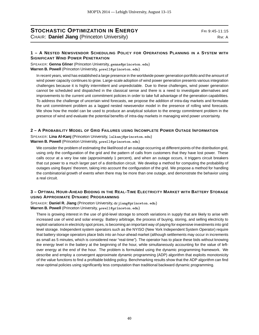## <span id="page-40-0"></span>**STOCHASTIC OPTIMIZATION IN ENERGY** FRI 9:45-11:15 **CHAIR: Daniel Jiang** (Princeton University) RM: A

#### **1 – A NESTED NEWSVENDOR SCHEDULING POLICY FOR OPERATIONS PLANNING IN A SYSTEM WITH SIGNIFICANT WIND POWER PENETRATION**

SPEAKER: Genna Gliner (Princeton University, genna@princeton.edu)

Warren B. Powell (Princeton University, powell@princeton.edu)

In recent years, wind has established a large presence in the worldwide power generation portfolio and the amount of wind power capacity continues to grow. Large-scale adoption of wind power generation presents various integration challenges because it is highly intermittent and unpredictable. Due to these challenges, wind power generation cannot be scheduled and dispatched in the classical sense and there is a need to investigate alternatives and improvements to the current unit commitment policies in order to take full advantage of the generation capabilities. To address the challenge of uncertain wind forecasts, we propose the addition of intra-day markets and formulate the unit commitment problem as a lagged nested newsvendor model in the presence of rolling wind forecasts. We show how the model can be used to produce an analytical solution to the energy commitment problem in the presence of wind and evaluate the potential benefits of intra-day markets in managing wind power uncertainty.

#### **2 – A PROBABILITY MODEL OF GRID FAILURES USING INCOMPLETE POWER OUTAGE INFORMATION**

SPEAKER: Lina Al-Kanj (Princeton University, lalkanj Oprinceton.edu)

Warren B. Powell (Princeton University, powell@princeton.edu)

We consider the problem of estimating the likelihood of an outage occurring at different points of the distribution grid, using only the configuration of the grid and the pattern of calls from customers that they have lost power. These calls occur at a very low rate (approximately 1 percent), and when an outage occurs, it triggers circuit breakers that cut power to a much larger part of a distribution circuit. We develop a method for computing the probability of outages using Bayes' theorem, taking into account the configuration of the grid. We propose a method for handling the combinatorial growth of events when there may be more than one outage, and demonstrate the behavior using a real circuit.

#### 3 - OPTIMAL HOUR-AHEAD BIDDING IN THE REAL-TIME ELECTRICITY MARKET WITH BATTERY STORAGE **USING APPROXIMATE DYNAMIC PROGRAMMING**

SPEAKER: Daniel R. Jiang (Princeton University, driiang@princeton.edu)

Warren B. Powell (Princeton University, powell@princeton.edu)

There is growing interest in the use of grid-level storage to smooth variations in supply that are likely to arise with increased use of wind and solar energy. Battery arbitrage, the process of buying, storing, and selling electricity to exploit variations in electricity spot prices, is becoming an important way of paying for expensive investments into grid level storage. Independent system operators such as the NYISO (New York Independent System Operator) require that battery storage operators place bids into an hour-ahead market (although settlements may occur in increments as small as 5 minutes, which is considered near "real-time"). The operator has to place these bids without knowing the energy level in the battery at the beginning of the hour, while simultaneously accounting for the value of leftover energy at the end of the hour. The problem is formulated using the dynamic programming framework. We describe and employ a convergent approximate dynamic programming (ADP) algorithm that exploits monotonicity of the value functions to find a profitable bidding policy. Benchmarking results show that the ADP algorithm can find near-optimal policies using significantly less computation than traditional backward dynamic programming.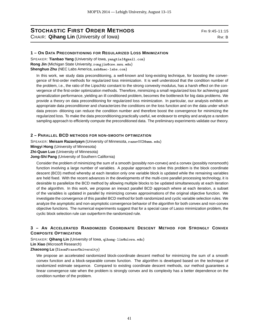# <span id="page-41-0"></span>**STOCHASTIC FIRST ORDER METHODS** <sup>F</sup>RI 9:45-11:15 **CHAIR: Qihang Lin** (University of Iowa) RM: B

#### **1 – ON DATA PRECONDITIONING FOR REGULARIZED LOSS MINIMIZATION**

SPEAKER: Tianbao Yang (University of Iowa, yangtia1@gmail.com[\)](mailto:yangtia1@gmail.com) Rong Jin (Michigan State University, rongjin@cse.msu.edu) **Shenghuo Zhu** (NEC Labs America, zsh@nec-labs.com)

In this work, we study data preconditioning, a well-known and long-existing technique, for boosting the convergence of first-order methods for regularized loss minimization. It is well understood that the condition number of the problem, i.e., the ratio of the Lipschitz constant to the strong convexity modulus, has a harsh effect on the convergence of the first-order optimization methods. Therefore, minimizing a small regularized loss for achieving good generalization performance, yielding an ill conditioned problem, becomes the bottleneck for big data problems. We provide a theory on data preconditioning for regularized loss minimization. In particular, our analysis exhibits an appropriate data preconditioner and characterizes the conditions on the loss function and on the data under which data precon- ditioning can reduce the condition number and therefore boost the convergence for minimizing the regularized loss. To make the data preconditioning practically useful, we endeavor to employ and analyze a random sampling approach to efficiently compute the preconditioned data. The preliminary experiments validate our theory.

#### **2 – PARALLEL BCD METHODS FOR NON-SMOOTH OPTIMIZATION**

SPEAKER: **Meisam Razaviyayn** (University of Minnesota, razav002umn.edu[\)](mailto:razav002@umn.edu) **Mingyi Hong** (University of Minnesota) **Zhi-Quan Luo** (University of Minnesota) **Jong-Shi Pang** (University of Southern California)

Consider the problem of minimizing the sum of a smooth (possibly non-convex) and a convex (possibly nonsmooth) function involving a large number of variables. A popular approach to solve this problem is the block coordinate descent (BCD) method whereby at each iteration only one variable block is updated while the remaining variables are held fixed. With the recent advances in the developments of the multi-core parallel processing technology, it is desirable to parallelize the BCD method by allowing multiple blocks to be updated simultaneously at each iteration of the algorithm. In this work, we propose an inexact parallel BCD approach where at each iteration, a subset of the variables is updated in parallel by minimizing convex approximations of the original objective function. We investigate the convergence of this parallel BCD method for both randomized and cyclic variable selection rules. We analyze the asymptotic and non-asymptotic convergence behavior of the algorithm for both convex and non-convex objective functions. The numerical experiments suggest that for a special case of Lasso minimization problem, the cyclic block selection rule can outperform the randomized rule.

#### **3 – AN ACCELERATED RANDOMIZED COORDINATE DESCENT METHOD FOR STRONGLY CONVEX COMPOSITE OPTIMIZATION**

SPEAKER: Qihang Lin (University of Iowa, qihang-lin@uiowa.edu) **Lin Xiao** (Microsoft Research) **Zhaosong Lu** (SimonFraserUniversity[\)](mailto:Simon Fraser University)

We propose an accelerated randomized block-coordinate descent method for minimizing the sum of a smooth convex function and a block-separable convex function. The algorithm is developed based on the technique of randomized estimate sequence. Compared to existing coordinate descent methods, our method guarantees a linear convergence rate when the problem is strongly convex and its complexity has a better dependence on the condition number of the problem.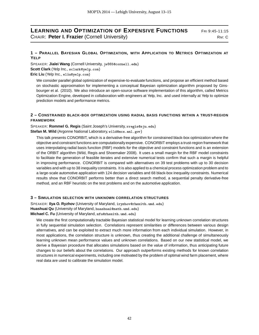# <span id="page-42-0"></span>**LEARNING AND OPTIMIZATION OF EXPENSIVE FUNCTIONS** <sup>F</sup>RI 9:45-11:15 **CHAIR: Peter I. Frazier** (Cornell University) RM: C

#### **1 – PARALLEL BAYESIAN GLOBAL OPTIMIZATION, WITH APPLICATION TO METRICS OPTIMIZATION AT YELP**

SPEAKER: Jialei Wang (Cornell University, jw865@cornell.edu) Scott Clark (Yelp Inc., sclark@yelp.com) Eric Liu (Yelp Inc., eliu@yelp.com)

We consider parallel global optimization of expensive-to-evaluate functions, and propose an efficient method based on stochastic approximation for implementing a conceptual Bayesian optimization algorithm proposed by Ginsbourger et al. (2010). We also introduce an open-source software implementation of this algorithm, called Metrics Optimization Engine, developed in collaboration with engineers at Yelp, Inc. and used internally at Yelp to optimize prediction models and performance metrics.

#### **2 – CONSTRAINED BLACK-BOX OPTIMIZATION USING RADIAL BASIS FUNCTIONS WITHIN A TRUST-REGION FRAMEWORK**

SPEAKER: **Rommel G. Regis** (Saint Joseph's University, rregis@sju.edu) **Stefan M. Wild** (Argonne National Laboratory, wild@mcs.anl.gov)

This talk presents CONORBIT, which is a derivative-free algorithm for constrained black-box optimization where the objective and constraint functions are computationally expensive. CONORBIT employs a trust-region framework that uses interpolating radial basis function (RBF) models for the objective and constraint functions and is an extension of the ORBIT algorithm (Wild, Regis and Shoemaker 2008). It uses a small margin for the RBF model constraints to facilitate the generation of feasible iterates and extensive numerical tests confirm that such a margin is helpful in improving performance. CONORBIT is compared with alternatives on 39 test problems with up to 30 decision variables and with up to 38 inequality constraints. It is also applied to a chemical process optimization problem and to a large-scale automotive application with 124 decision variables and 68 black-box inequality constraints. Numerical results show that CONORBIT performs better than a direct search method, a sequential penalty derivative-free method, and an RBF heuristic on the test problems and on the automotive application.

#### **3 – SIMULATION SELECTION WITH UNKNOWN CORRELATION STRUCTURES**

SPEAKER: **Ilya O. Ryzhov** (University of Maryland, iryzhov@rhsmith.umd.edu) Huashuai Qu (University of Maryland, huashuai@math.umd.edu) **Michael C. Fu** (University of Maryland, mfu@rhsmith.umd.edu)

We create the first computationally tractable Bayesian statistical model for learning unknown correlation structures in fully sequential simulation selection. Correlations represent similarities or differences between various design alternatives, and can be exploited to extract much more information from each individual simulation. However, in most applications, the correlation structure is unknown, thus creating the additional challenge of simultaneously learning unknown mean performance values and unknown correlations. Based on our new statistical model, we derive a Bayesian procedure that allocates simulations based on the value of information, thus anticipating future changes to our beliefs about the correlations. Our approach outperforms existing methods for known correlation structures in numerical experiments, including one motivated by the problem of optimal wind farm placement, where real data are used to calibrate the simulation model.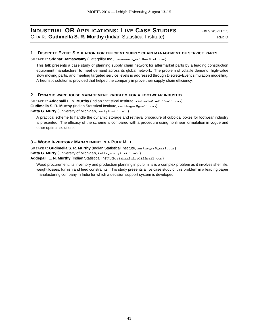## <span id="page-43-0"></span>**INDUSTRIAL OR APPLICATIONS: LIVE CASE STUDIES** <sup>F</sup>RI 9:45-11:15 CHAIR: **Gudimella S. R. Murthy** (Indian Statistical Institute) RM: D

#### **1 – DISCRETE EVENT SIMULATION FOR EFFICIENT SUPPLY CHAIN MANAGEMENT OF SERVICE PARTS**

SPEAKER: Sridhar Ramaswamy (Caterpillar Inc., ramaswamy\_sridhar@cat.com)

This talk presents a case study of planning supply chain network for aftermarket parts by a leading construction equipment manufacturer to meet demand across its global network. The problem of volatile demand, high-value slow moving parts, and meeting targeted service levels is addressed through Discrete-Event simulation modelling. A heuristic solution is provided that helped the company improve their supply chain efficiency.

#### **2 – DYNAMIC WAREHOUSE MANAGEMENT PROBLEM FOR A FOOTWEAR INDUSTRY**

SPEAKER: Addepalli L. N. Murthy (Indian Statistical Institute, simhaaln@rediffmail.com) Gudimella S. R. Murthy (Indian Statistical Institute, murthygsr@gmail.com) Katta G. Murty (University of Michigan, murty@umich.edu[\)](mailto:murty@umich.edu)

A practical scheme to handle the dynamic storage and retrieval procedure of cuboidal boxes for footwear industry is presented. The efficacy of the scheme is compared with a procedure using nonlinear formulation in vogue and other optimal solutions.

#### **3 – WOOD INVENTORY MANAGEMENT IN A PULP MILL**

SPEAKER: Gudimella S. R. Murthy (Indian Statistical Institute, murthygsr@gmail.com) Katta G. Murty (University of Michigan, katta\_murty@umich.edu) Addepalli L. N. Murthy (Indian Statistical Institute, simhaaln@rediffmail.com)

Wood procurement, its inventory and production planning in pulp mills is a complex problem as it involves shelf life, weight losses, furnish and feed constraints. This study presents a live case study of this problem in a leading paper manufacturing company in India for which a decision support system is developed.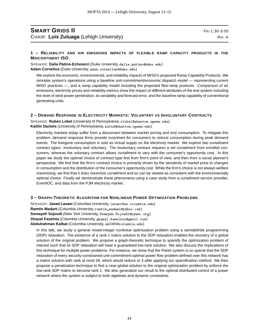# <span id="page-44-0"></span>**SMART GRIDS II** FRI 1:30-3:00 **CHAIR: Luis Zuluaga** (Lehigh University) **RM: A** RM: A

#### **1 – RELIABILITY AND AIR EMISSIONS IMPACTS OF FLEXIBLE RAMP CAPACITY PRODUCTS IN THE MIDCONTINENT ISO**

SPEAKER: **Dalia Patino-Echeverri** (Duke University, [dalia.patinoduke.edu](mailto:dalia.patino@duke.edu)) Adam Cornelius (Duke University, adam.cornelius@duke.edu)

We explore the economic, environmental, and reliability impacts of MISO's proposed Ramp Capability Products. We simulate system's operations using a baseline unit-commitment/economic dispatch model — representing current MISO practices —, and a ramp capability model including the proposed flexi-ramp products. Comparison of air emissions, electricity prices and reliability metrics show the impact of different attributes of the test system including the level of wind power penetration, its variability and forecast error, and the baseline ramp capability of conventional generating units.

#### **2 – DEMAND RESPONSE IN ELECTRICITY MARKETS: VOLUNTARY VS INVOLUNTARY CONTRACTS**

SPEAKER: Ruben Lobel (University of Pennsylvania, rlobel@wharton.upenn.edu) Kaitlin Daniels (University of Pennsylvania, kaitd@wharton.upenn.edu)

Electricity markets today suffer from a disconnect between market pricing and end consumption. To mitigate this problem, demand response firms provide incentives for consumers to reduce consumption during peak demand events. The foregone consumption is sold as virtual supply on the electricity market. We explore two curtailment contract types: involuntary and voluntary. The involuntary contract requires a set curtailment from enrolled consumers, whereas the voluntary contract allows curtailment to vary with the consumer's opportunity cost. In this paper we study the optimal choice of contract type first from firm's point of view, and then from a social planner's perspective. We find that the firm's contract choice is primarily driven by the sensitivity of market price to changes in consumption and the distribution of the consumer's opportunity cost. While the firm's choice is not always welfare maximizing, we find that it does maximize curtailment and so can be viewed as consistent with the environmentally optimal choice. Finally we demonstrate these phenomena using a case study from a curtailment service provider, EnerNOC, and data from the PJM electricity market.

#### **3 – GRAPH-THEORETIC ALGORITHM FOR NONLINEAR POWER OPTIMIZATION PROBLEMS**

SPEAKER: Javad Lavaei (Columbia University, lavaei@ee.columbia.edu) Ramtin Madani (Columbia University, ramtin\_madani@yahoo.com) **Somayeh Sojoudi** (New York University, Somayeh.Sojoudi@nyumc.org) **Ghazal Fazelnia** (Columbia University, ghazal .fazelnia@gmail.com) Abdulrahman Kalbat (Columbia University, ak3369@columbia.edu)

In this talk, we study a general mixed-integer nonlinear optimization problem using a semidefinite programming (SDP) relaxation. The existence of a rank-1 matrix solution to the SDP relaxation enables the recovery of a global solution of the original problem. We propose a graph-theoretic technique to sparsify the optimization problem of interest such that its SDP relaxation will have a guaranteed low-rank solution. We also discuss the implications of this technique for multiple power problems. For instance, we show that the Polish system is so sparse that the SDP relaxation of every security-constrained unit-commitment optimal power flow problem defined over this network has a matrix solution with rank at most 26, which would reduce to 3 after applying our sparsification method. We then propose a penalization technique to find a near-global solution to the original optimization problem by enforce the low-rank SDP matrix to become rank 1. We also generalize our result to the optimal distributed control of a power network where the system is subject to both algebraic and dynamic constraints.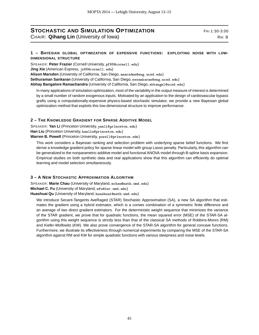## <span id="page-45-0"></span>**STOCHASTIC AND SIMULATION OPTIMIZATION** FRI 1:30-3:00 **CHAIR: Qihang Lin** (University of Iowa) RM: B

#### **1 – BAYESIAN GLOBAL OPTIMIZATION OF EXPENSIVE FUNCTIONS: EXPLOITING NOISE WITH LOW-DIMENSIONAL STRUCTURE**

SPEAKER: Peter Frazier (Cornell University, pf98@cornell.edu)

**Jing Xie** (American Express, jx66@cornell.edu[\)](mailto:jx66@cornell.edu)

Alison Marsden (University of California, San Diego, amarsden@eng.ucsd.edu)

Sethuraman Sankaran (University of California, San Diego, sesankaran@eng.ucsd.edu)

Abhay Bangalore Ramachandra (University of California, San Diego, abbangal Qucsd.edu[\)](mailto:abbangal@ucsd.edu)

In many applications of simulation optimization, most of the variability in the output measure of interest is determined by a small number of random exogenous inputs. Motivated by an application to the design of cardiovascular bypass grafts using a computationally-expensive physics-based stochastic simulator, we provide a new Bayesian global optimization method that exploits this low-dimensional structure to improve performance.

#### **2 – THE KNOWLEDGE GRADIENT FOR SPARSE ADDITIVE MODEL**

SPEAKER: Yan Li (Princeton University, yanli@princeton.edu) Han Liu (Princeton University, hanliu@princeton.edu) Warren B. Powell (Princeton University, powell@princeton.edu)

This work considers a Bayesian ranking and selection problem with underlying sparse belief functions. We first derive a knowledge gradient policy for sparse linear model with group Lasso penalty. Particularly, this algorithm can be generalized to the nonparametric additive model and functional ANOVA model through B-spline basis expansion. Empirical studies on both synthetic data and real applications show that this algorithm can efficiently do optimal learning and model selection simultaneously.

#### **3 – A NEW STOCHASTIC APPROXIMATION ALGORITHM**

SPEAKER: Marie Chau (University of Maryland, mchau@math.umd.edu) **Michael C. Fu** (University of Maryland, mfu@isr.umd.edu[\)](mailto:mfu@isr.umd.edu) Huashuai Qu (University of Maryland, huashuai@math.umd.edu)

We introduce Secant-Tangents AveRaged (STAR) Stochastic Approximation (SA), a new SA algorithm that estimates the gradient using a hybrid estimator, which is a convex combination of a symmetric finite difference and an average of two direct gradient estimators. For the deterministic weight sequence that minimizes the variance of the STAR gradient, we prove that for quadratic functions, the mean squared error (MSE) of the STAR-SA algorithm using this weight sequence is strictly less than that of the classical SA methods of Robbins-Monro (RM) and Kiefer-Wolfowitz (KW). We also prove convergence of the STAR-SA algorithm for general concave functions. Furthermore, we illustrate its effectiveness through numerical experiments by comparing the MSE of the STAR-SA algorithm against RM and KW for simple quadratic functions with various steepness and noise levels.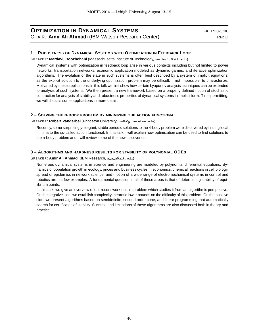### <span id="page-46-0"></span>**OPTIMIZATION IN DYNAMICAL SYSTEMS** CHAIR: **Amir Ali Ahmadi** (IBM Watson Research Center) RM: C

#### **1 – ROBUSTNESS OF DYNAMICAL SYSTEMS WITH OPTIMIZATION IN FEEDBACK LOOP**

SPEAKER: Mardavij Roozbehani (Massachusetts Institute of Technology, mardavij@mit.edu[\)](mailto:mardavij@mit.edu)

Dynamical systems with optimization in feedback loop arise in various contexts including but not limited to power networks, transportation networks, economic application modeled as dynamic games, and iterative optimization algorithms. The evolution of the state in such systems is often best described by a system of implicit equations, as the explicit solution to the underlying optimization problem may be difficult, if not impossible, to characterize. Motivated by these applications, in this talk we first show how certain Lyapunov analysis techniques can be extended to analysis of such systems. We then present a new framework based on a properly defined notion of stochastic contraction for analysis of stability and robustness properties of dynamical systems in implicit form. Time permitting, we will discuss some applications in more detail.

#### **2 – SOLVING THE N-BODY PROBLEM BY MINIMIZING THE ACTION FUNCTIONAL**

SPEAKER: Robert Vanderbei (Princeton University, rvdb@princeton.edu)

Recently, some surprisingly-elegant, stable periodic solutions to the 4-body problem were discovered by finding local minima to the so-called action functional. In this talk, I will explain how optimization can be used to find solutions to the n-body problem and I will review some of the new discoveries.

#### **3 – ALGORITHMS AND HARDNESS RESULTS FOR STABILITY OF POLYNOMIAL ODES**

SPEAKER: **Amir Ali Ahmadi** (IBM Research, [a\\_a\\_amit.edu](mailto:a_a_a@mit.edu))

Numerous dynamical systems in science and engineering are modeled by polynomial differential equations: dynamics of population growth in ecology, prices and business cycles in economics, chemical reactions in cell biology, spread of epidemics in network science, and motion of a wide range of electromechanical systems in control and robotics are but few examples. A fundamental question in all of these areas is that of determining stability of equilibrium points.

In this talk, we give an overview of our recent work on this problem which studies it from an algorithmic perspective. On the negative side, we establish complexity theoretic lower bounds on the difficulty of this problem. On the positive side, we present algorithms based on semidefinite, second order cone, and linear programming that automatically search for certificates of stability. Success and limitations of these algorithms are also discussed both in theory and practice.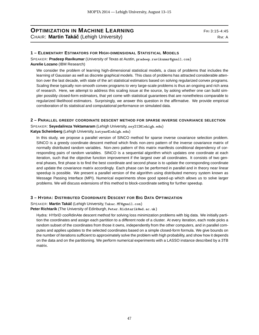# <span id="page-47-0"></span>**OPTIMIZATION IN MACHINE LEARNING** FRI 3:15-4:45 **CHAIR: Martin Takáč (Lehigh University) CHAIR: Martin Takáč** (Lehigh University)

#### **1 – ELEMENTARY ESTIMATORS FOR HIGH-DIMENSIONAL STATISTICAL MODELS**

SPEAKER: Pradeep Ravikumar (University of Texas at Austin, pradeep.ravikumar@gmail.com) **Aurelie Lozano** (IBM Research)

We consider the problem of learning high-dimensional statistical models, a class of problems that includes the learning of Gaussian as well as discrete graphical models. This class of problems has attracted considerable attention over the last decade, with state of the art statistical estimators based on solving regularized convex programs. Scaling these typically non-smooth convex programs to very large-scale problems is thus an ongoing and rich area of research. Here, we attempt to address this scaling issue at the source, by asking whether one can build simpler possibly closed-form estimators, that yet come with statistical guarantees that are nonetheless comparable to regularized likelihood estimators. Surprisingly, we answer this question in the affirmative. We provide empirical corroboration of its statistical and computational performance on simulated data.

#### **2 – PARALLEL GREEDY COORDINATE DESCENT METHOD FOR SPARSE INVERSE COVARIANCE SELECTION**

SPEAKER: Seyedalireza Yektamaram (Lehigh University, sey21201ehigh.edu[\)](mailto:sey212@lehigh.edu)

Katya Scheinberg (Lehigh University, katyas@lehigh.edu)

In this study, we propose a parallel version of SINCO method for sparse inverse covariance selection problem. SINCO is a greedy coordinate descent method which finds non-zero pattern of the inverse covariance matrix of normally distributed random variables. Non-zero pattern of this matrix manifests conditional dependency of corresponding pairs of random variables. SINCO is a sequential algorithm which updates one coordinate at each iteration, such that the objective function improvement if the largest over all coordinates. It consists of two general phases, first phase is to find the best coordinate and second phase is to update the corresponding coordinate and update the covariance matrix accordingly. Each phase can be performed in parallel and in theory near linear speedup is possible. We present a parallel version of the algorithm using distributed memory system known as Message Passing Interface (MPI). Numerical experiments show good speed-up which allows us to solve larger problems. We will discuss extensions of this method to block-coordinate setting for further speedup.

#### **3 – HYDRA: DISTRIBUTED COORDINATE DESCENT FOR BIG DATA OPTIMIZATION**

SPEAKER: Martin Takáč (Lehigh University, Takac.MT@gmail.com)

Peter Richtarik (The University of Edinburgh, Peter. Richtarik@ed.ac.uk)

Hydra: HYbriD cooRdinAte descent method for solving loss minimization problems with big data. We initially partition the coordinates and assign each partition to a different node of a cluster. At every iteration, each node picks a random subset of the coordinates from those it owns, independently from the other computers, and in parallel computes and applies updates to the selected coordinates based on a simple closed-form formula. We give bounds on the number of iterations sufficient to approximately solve the problem with high probability, and show how it depends on the data and on the partitioning. We perform numerical experiments with a LASSO instance described by a 3TB matrix.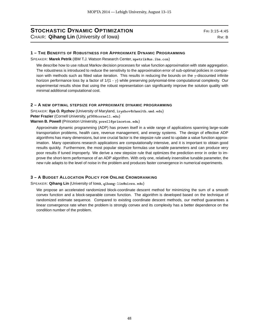# <span id="page-48-0"></span>**STOCHASTIC DYNAMIC OPTIMIZATION** FRI 3:15-4:45 **CHAIR: Qihang Lin** (University of Iowa) RM: B

#### **1 – THE BENEFITS OF ROBUSTNESS FOR APPROXIMATE DYNAMIC PROGRAMMING**

SPEAKER: Marek Petrik (IBM T.J. Watson Research Center, mpetrik@us.ibm.com[\)](mailto:mpetrik@us.ibm.com)

We describe how to use robust Markov decision processes for value function approximation with state aggregation. The robustness is introduced to reduce the sensitivity to the approximation error of sub-optimal policies in comparison with methods such as fitted value iteration. This results in reducing the bounds on the *γ*-discounted infinite horizon performance loss by a factor of 1/(1 - *γ*) while preserving polynomial-time computational complexity. Our experimental results show that using the robust representation can significantly improve the solution quality with minimal additional computational cost.

#### **2 – A NEW OPTIMAL STEPSIZE FOR APPROXIMATE DYNAMIC PROGRAMMING**

SPEAKER: **Ilya O. Ryzhov** (University of Maryland, iryzhov@rhsmith.umd.edu) Peter Frazier (Cornell University, pf98@cornell.edu)

Warren B. Powell (Princeton University, powell@princeton.edu)

Approximate dynamic programming (ADP) has proven itself in a wide range of applications spanning large-scale transportation problems, health care, revenue management, and energy systems. The design of effective ADP algorithms has many dimensions, but one crucial factor is the stepsize rule used to update a value function approximation. Many operations research applications are computationally intensive, and it is important to obtain good results quickly. Furthermore, the most popular stepsize formulas use tunable parameters and can produce very poor results if tuned improperly. We derive a new stepsize rule that optimizes the prediction error in order to improve the short-term performance of an ADP algorithm. With only one, relatively insensitive tunable parameter, the new rule adapts to the level of noise in the problem and produces faster convergence in numerical experiments.

#### **3 – A BUDGET ALLOCATION POLICY FOR ONLINE CROWDRANKING**

SPEAKER: Qihang Lin (University of Iowa, qihang-lin@uiowa.edu)

We propose an accelerated randomized block-coordinate descent method for minimizing the sum of a smooth convex function and a block-separable convex function. The algorithm is developed based on the technique of randomized estimate sequence. Compared to existing coordinate descent methods, our method guarantees a linear convergence rate when the problem is strongly convex and its complexity has a better dependence on the condition number of the problem.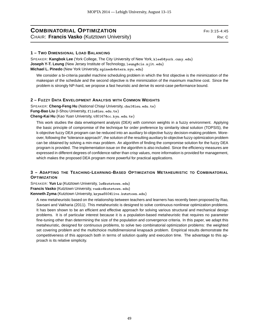# <span id="page-49-0"></span>**COMBINATORIAL OPTIMIZATION** FRI 3:15-4:45 CHAIR: Francis Vasko (Kutztown University) **RM: C** RM: C

#### **1 – TWO DIMENSIONAL LOAD BALANCING**

SPEAKER: Kangbok Lee (York College, The City University of New York, klee5@york.cuny.edu[\)](mailto:klee5@york.cuny.edu) **Joseph Y-T. Leung** (New Jersey Institute of Technology, leung@cis.njit.edu) **Michael L. Pinedo** (New York University, mpinedo@stern.nyu.edu)

We consider a bi-criteria parallel machine scheduling problem in which the first objective is the minimization of the makespan of the schedule and the second objective is the minimization of the maximum machine cost. Since the problem is strongly NP-hard, we propose a fast heuristic and derive its worst-case performance bound.

#### **2 – FUZZY DATA ENVELOPMENT ANALYSIS WITH COMMON WEIGHTS**

SPEAKER: Cheng-Feng Hu (National Chiayi University, chu1@isu.edu.tw) Fung-Bao Liu (I-Shou University, fliu@isu.edu.tw)

Cheng-Kai Hu (Kao Yuan University, t80147@cc.kyu.edu.tw)

This work studies the data envelopment analysis (DEA) with common weights in a fuzzy environment. Applying the basic principle of compromise of the technique for order preference by similarity ideal solution (TOPSIS), the k-objective fuzzy DEA program can be reduced into an auxiliary bi-objective fuzzy decision-making problem. Moreover, following the "tolerance approach", the solution of the resulting auxiliary bi-objective fuzzy optimization problem can be obtained by solving a min-max problem. An algorithm of finding the compromise solution for the fuzzy DEA program is provided. The implementation issue on the algorithm is also included. Since the efficiency measures are expressed in different degrees of confidence rather than crisp values, more information is provided for management, which makes the proposed DEA program more powerful for practical applications.

#### **3 – ADAPTING THE TEACHING-LEARNING-BASED OPTIMIZATION METAHEURISTIC TO COMBINATORIAL OPTIMIZATION**

SPEAKER: Yun Lu (Kutztown University, lu@kutztown.edu) **Francis Vasko** (Kutztown University, vasko@kutztown.edu) Kenneth Zyma (Kutztown University, kzyma65001 ive.kutztown.edu)

A new metaheuristic based on the relationship between teachers and learners has recently been proposed by Rao, Savsani and Vakharia (2011). This metaheuristic is designed to solve continuous nonlinear optimization problems. It has been shown to be an efficient and effective approach for solving various structural and mechanical design problems. It is of particular interest because it is a population-based metaheuristic that requires no parameter fine-tuning other than determining the size of the population and convergence criteria. In this paper, we adapt this metaheuristic, designed for continuous problems, to solve two combinatorial optimization problems: the weighted set covering problem and the multichoice multidimensional knapsack problem. Empirical results demonstrate the competitiveness of this approach both in terms of solution quality and execution time. The advantage to this approach is its relative simplicity.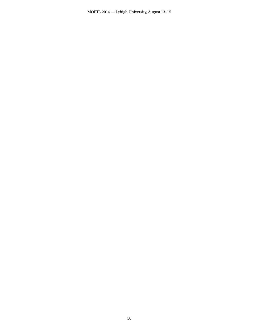MOPTA 2014 — Lehigh University, August 13–15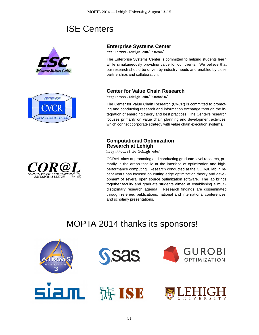# ISE Centers





### **Enterprise Systems Center**

http://www.lehigh.edu/~ines
/

The Enterprise Systems Center is committed to helping students learn while simultaneously providing value for our clients. We believe that our research should be driven by industry needs and enabled by close partnerships and collaboration.

### **Center for Value Chain Research**

http://www.lehigh.edu/~in
hain/

The Center for Value Chain Research (CVCR) is committed to promoting and conducting research and information exchange through the integration of emerging theory and best practices. The Center's research focuses primarily on value chain planning and development activities, which connect corporate strategy with value chain execution systems.

### **Computational Optimization Research at Lehigh**

http://
oral.ie.lehigh.edu/

COR@L aims at promoting and conducting graduate-level research, primarily in the areas that lie at the interface of optimization and highperformance computing. Research conducted at the COR@L lab in recent years has focused on cutting edge optimization theory and development of several open source optimization software. The lab brings together faculty and graduate students aimed at establishing a multidisciplinary research agenda. Research findings are disseminated through refereed publications, national and international conferences, and scholarly presentations.

# MOPTA 2014 thanks its sponsors!



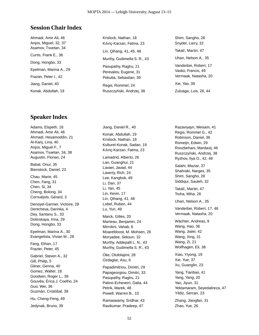### <span id="page-52-0"></span>**Session Chair Index**

Ahmadi, Amir Ali, [46](#page-46-0) Anjos, Miguel, [32,](#page-32-0) [37](#page-37-0) Asamov, Tsvetan, [34](#page-34-0) Curtis, Frank E., [36](#page-36-0) Dong, Hongbo, [33](#page-33-0) Epelman, Marina A., [29](#page-29-0) Frazier, Peter I., [42](#page-42-0) Jiang, Daniel, [40](#page-40-0) Konak, Abdullah, [19](#page-19-0)

# <span id="page-52-1"></span>**Speaker Index**

Adams, Elspeth, [18](#page-18-0) Ahmadi, Amir Ali, [46](#page-46-0) Ahmadi, Hesamoddin, [21](#page-21-0) Al-Kanj, Lina, [40](#page-40-0) Anjos, Miguel F., [7](#page-7-0) Asamov, Tsvetan, [34,](#page-34-0) [38](#page-38-0) Augustin, Florian, [24](#page-24-0) Babat, Onur, [35](#page-35-0) Bienstock, Daniel, [23](#page-23-0) Chau, Marie, [45](#page-45-0) Chen, Fang, [31](#page-31-0) Chen, Si, [34](#page-34-0) Cheng, Bolong, [34](#page-34-0) Cornuéjols, Gérard, [3](#page-3-0) Denoyel-Garnier, Victoire, [28](#page-28-0) Dentcheva, Darinka, [4](#page-4-0) Dey, Santanu S., [33](#page-33-0) Dolinskaya, Irina, [29](#page-29-0) Dong, Hongbo, [33](#page-33-0) Epelman, Marina A., [30](#page-30-0) Evangelista, Vivian M., [28](#page-28-0) Fang, Ethan, [17](#page-17-0) Frazier, Peter, [45](#page-45-0) Gabriel, Steven A., [32](#page-32-0) Gill, Philip, [5](#page-5-0) Gliner, Genna, [40](#page-40-0) Gomez, Walter, [18](#page-18-0) Goodwin, Roger L., [39](#page-39-0) Gouvêa, Érica J. Coelho, [24](#page-24-0) Guo, Wei, [36](#page-36-0) Guzmán, Cristóbal, [39](#page-39-0) Hu, Cheng-Feng, [49](#page-49-0) Jedynak, Bruno, [39](#page-39-0)

Krislock, Nathan, [18](#page-18-0) Kılınç-Karzan, Fatma, [23](#page-23-0) Lin, Qihang, [41,](#page-41-0) [45,](#page-45-0) [48](#page-48-0) Murthy, Gudimella S. R., [43](#page-43-0) Pasupathy, Raghu, [21](#page-21-0) Perevalov, Eugene, [31](#page-31-0) Pokutta, Sebastian, [39](#page-39-0) Regis, Rommel, [24](#page-24-0) Ruszczyński, Andrzej, [38](#page-38-0)

Shim, Sangho, [28](#page-28-0) Snyder, Larry, [32](#page-32-0)

Takáč, Martin, [47](#page-47-0)

Uhan, Nelson A., [35](#page-35-0)

Vanderbei, Robert, [17](#page-17-0) Vasko, Francis, [49](#page-49-0) Vermaak, Natasha, [20](#page-20-0)

Xie, Yao, [39](#page-39-0) Zuluaga, Luis, [26,](#page-26-0) [44](#page-44-0)

Jiang, Daniel R., [40](#page-40-0) Konak, Abdullah, [19](#page-19-0) Krislock, Nathan, [18](#page-18-0) Kulturel-Konak, Sadan, [19](#page-19-0) Kılınç-Karzan, Fatma, [23](#page-23-0) Lamadrid, Alberto, [26](#page-26-0) Lan, Guanghui, [21](#page-21-0) Lavaei, Javad, [44](#page-44-0) Laverty, Rich, [24](#page-24-0) Lee, Kangbok, [49](#page-49-0) Li, Dan, [37](#page-37-0) Li, Yan, [45](#page-45-0) Lin, Kevin, [17](#page-17-0) Lin, Qihang, [41,](#page-41-0) [48](#page-48-0) Lobel, Ruben, [44](#page-44-0) Lu, Yun, [49](#page-49-0) Marck, Gilles, [20](#page-20-0) Marteau, Benjamin, [24](#page-24-0) Mirrokni, Vahab, [8](#page-8-0) Moarefdoost, M. Mohsen, [26](#page-26-0) Moryadee, Seksun, [32](#page-32-0) Murthy, Addepalli L. N., [43](#page-43-0) Murthy, Gudimella S. R., [43](#page-43-0) Oke, Olufolajimi, [28](#page-28-0) Ozdaglar, Asu, [6](#page-6-0) Papadimitriou, Dimitri, [29](#page-29-0) Papageorgiou, Dimitri, [33](#page-33-0) Pasupathy, Raghu, [21](#page-21-0) Patino-Echeverri, Dalia, [44](#page-44-0) Petrik, Marek, [48](#page-48-0) Powell, Warren B., [10](#page-10-0) Ramaswamy, Sridhar, [43](#page-43-0) Ravikumar, Pradeep, [47](#page-47-0)

Razaviyayn, Meisam, [41](#page-41-0) Regis, Rommel G., [42](#page-42-0) Robinson, Daniel, [36](#page-36-0) Romeijn, Edwin, [29](#page-29-0) Roozbehani, Mardavij, [46](#page-46-0) Ruszczyński, Andrzej, [38](#page-38-0) Ryzhov, Ilya O., [42,](#page-42-0) [48](#page-48-0)

Salahi, Maziar, [37](#page-37-0) Shahraki, Narges, [35](#page-35-0) Shim, Sangho, [28](#page-28-0) Siddiqui, Sauleh, [32](#page-32-0)

Takáč, Martin, [47](#page-47-0) Troha, Miha, [26](#page-26-0)

Uhan, Nelson A., [35](#page-35-0)

Vanderbei, Robert, [17,](#page-17-0) [46](#page-46-0) Vermaak, Natasha, [20](#page-20-0)

Wächter, Andreas, [9](#page-9-0) Wang, Hao, [36](#page-36-0) Wang, Jialei, [42](#page-42-0) Wang, Xing, [31](#page-31-0) Wang, Zi, [21](#page-21-0) Wolfhagen, Eli, [38](#page-38-0)

Xiao, Yiyong, [19](#page-19-0) Xie, Yue, [37](#page-37-0) Xu, Guanglin, [23](#page-23-0)

Yang, Tianbao, [41](#page-41-0) Yang, Yang, [20](#page-20-0) Yao, Jiyun, [31](#page-31-0) Yektamaram, Seyedalireza, [47](#page-47-0) Yildiz, Sercan, [23](#page-23-0)

Zhang, Jiangfan, [31](#page-31-0) Zhao, Yue, [26](#page-26-0)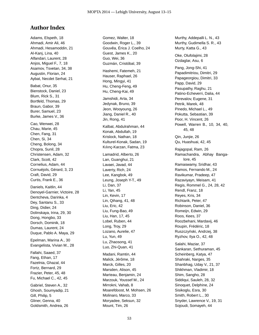# **Author Index**

Adams, Elspeth, [18](#page-18-0) Ahmadi, Amir Ali, [46](#page-46-0) Ahmadi, Hesamoddin, [21](#page-21-0) Al-Kanj, Lina, [40](#page-40-0) Alfandari, Laurent, [28](#page-28-0) Anjos, Miguel F., [7,](#page-7-0) [18](#page-18-0) Asamov, Tsvetan, [34,](#page-34-0) [38](#page-38-0) Augustin, Florian, [24](#page-24-0) Aybat, Necdet Serhat, [21](#page-21-0) Babat, Onur, [35](#page-35-0) Bienstock, Daniel, [23](#page-23-0) Blum, Rick S., [31](#page-31-0) Bortfeld, Thomas, [29](#page-29-0) Braun, Gabor, [39](#page-39-0) Burer, Samuel, [23](#page-23-0) Burke, James V., [36](#page-36-0) Cao, Wenwei, [28](#page-28-0) Chau, Marie, [45](#page-45-0) Chen, Fang, [31](#page-31-0) Chen, Si, [34](#page-34-0) Cheng, Bolong, [34](#page-34-0) Chopra, Sunil, [28](#page-28-0) Christensen, Adam, [32](#page-32-0) Clark, Scott, [42](#page-42-0) Cornelius, Adam, [44](#page-44-0) Cornuéjols, Gérard, [3,](#page-3-0) [23](#page-23-0) Craft, David, [29](#page-29-0) Curtis, Frank E., [36](#page-36-0) Daniels, Kaitlin, [44](#page-44-0) Denoyel-Garnier, Victoire, [28](#page-28-0) Dentcheva, Darinka, [4](#page-4-0) Dey, Santanu S., [33](#page-33-0) Ding, Didier, [24](#page-24-0) Dolinskaya, Irina, [29,](#page-29-0) [30](#page-30-0) Dong, Hongbo, [33](#page-33-0) Dorsch, Dominik, [18](#page-18-0) Dumas, Laurent, [24](#page-24-0) Duque, Pablo A. Maya, [29](#page-29-0) Epelman, Marina A., [30](#page-30-0) Evangelista, Vivian M., [28](#page-28-0) Fallahi, Saaed, [37](#page-37-0) Fang, Ethan, [17](#page-17-0) Fazelnia, Ghazal, [44](#page-44-0) Fortz, Bernard, [29](#page-29-0) Frazier, Peter, [45,](#page-45-0) [48](#page-48-0) Fu, Michael C., [42,](#page-42-0) [45](#page-45-0) Gabriel, Steven A., [32](#page-32-0) Ghosh, Soumyadip, [21](#page-21-0) Gill, Philip, [5](#page-5-0) Gliner, Genna, [40](#page-40-0) Goldsmith, Andrea, [26](#page-26-0)

Gomez, Walter, [18](#page-18-0) Goodwin, Roger L., [39](#page-39-0) Gouvêa, Érica J. Coelho, [24](#page-24-0) Guest, James K., [20](#page-20-0) Guo, Wei, [36](#page-36-0) Guzmán, Cristóbal, [39](#page-39-0) Hashemi, Fatemeh, [21](#page-21-0) Hauser, Raphael, [26](#page-26-0) Hong, Mingyi, [41](#page-41-0) Hu, Cheng-Feng, [49](#page-49-0) Hu, Cheng-Kai, [49](#page-49-0) Jamshidi, Arta, [34](#page-34-0) Jedynak, Bruno, [39](#page-39-0) Jeon, Wooyoung, [26](#page-26-0) Jiang, Daniel R., [40](#page-40-0) Jin, Rong, [41](#page-41-0) Kalbat, Abdulrahman, [44](#page-44-0) Konak, Abdullah, [19](#page-19-0) Krislock, Nathan, [18](#page-18-0) Kulturel-Konak, Sadan, [19](#page-19-0) Kılınç-Karzan, Fatma, [23](#page-23-0) Lamadrid, Alberto, [26](#page-26-0) Lan, Guanghui, [21](#page-21-0) Lavaei, Javad, [44](#page-44-0) Laverty, Rich, [24](#page-24-0) Lee, Kangbok, [49](#page-49-0) Leung, Joseph Y-T., [49](#page-49-0) Li, Dan, [37](#page-37-0) Li, Yan, [45](#page-45-0) Lin, Kevin, [17](#page-17-0) Lin, Qihang, [41,](#page-41-0) [48](#page-48-0) Liu, Eric, [42](#page-42-0) Liu, Fung-Bao, [49](#page-49-0) Liu, Han, [17,](#page-17-0) [45](#page-45-0) Lobel, Ruben, [44](#page-44-0) Long, Troy, [29](#page-29-0) Lozano, Aurelie, [47](#page-47-0) Lu, Yun, [49](#page-49-0) Lu, Zhaosong, [41](#page-41-0) Luo, Zhi-Quan, [41](#page-41-0) Madani, Ramtin, [44](#page-44-0) Malick, Jérôme, [18](#page-18-0) Marck, Gilles, [20](#page-20-0) Marsden, Alison, [45](#page-45-0) Marteau, Benjamin, [24](#page-24-0) Marzouk, Youssef M., [24](#page-24-0) Mirrokni, Vahab, [8](#page-8-0) Moarefdoost, M. Mohsen, [26](#page-26-0) Molinaro, Marco, [33](#page-33-0) Moryadee, Seksun, [32](#page-32-0) Mount, Tim, [26](#page-26-0)

Murthy, Addepalli L. N., [43](#page-43-0) Murthy, Gudimella S. R., [43](#page-43-0) Murty, Katta G., [43](#page-43-0)

Oke, Olufolajimi, [28](#page-28-0) Ozdaglar, Asu, [6](#page-6-0)

Pang, Jong-Shi, [41](#page-41-0) Papadimitriou, Dimitri, [29](#page-29-0) Papageorgiou, Dimitri, [33](#page-33-0) Papp, David, [29](#page-29-0) Pasupathy, Raghu, [21](#page-21-0) Patino-Echeverri, Dalia, [44](#page-44-0) Perevalov, Eugene, [31](#page-31-0) Petrik, Marek, [48](#page-48-0) Pinedo, Michael L., [49](#page-49-0) Pokutta, Sebastian, [39](#page-39-0) Poor, H. Vincent, [26](#page-26-0) Powell, Warren B., [10,](#page-10-0) [34,](#page-34-0) [40,](#page-40-0) [45,](#page-45-0) [48](#page-48-0) Qin, Junjie, [26](#page-26-0) Qu, Huashuai, [42,](#page-42-0) [45](#page-45-0) Rajagopal, Ram, [26](#page-26-0) Ramachandra, Abhay Bangalore, [45](#page-45-0) Ramaswamy, Sridhar, [43](#page-43-0) Ramos, Fernando M., [24](#page-24-0) Ravikumar, Pradeep, [47](#page-47-0) Razaviyayn, Meisam, [41](#page-41-0) Regis, Rommel G., [24,](#page-24-0) [28,](#page-28-0) [42](#page-42-0) Rendl, Franz, [18](#page-18-0) Reyes, Kris, [34](#page-34-0) Richtarik, Peter, [47](#page-47-0) Robinson, Daniel, [36](#page-36-0) Romeijn, Edwin, [29](#page-29-0) Roos, Kees, [37](#page-37-0) Roozbehani, Mardavij, [46](#page-46-0) Roupin, Frédéric, [18](#page-18-0) Ruszczyński, Andrzej, [38](#page-38-0) Ryzhov, Ilya O., [42,](#page-42-0) [48](#page-48-0)

Salahi, Maziar, [37](#page-37-0) Sankaran, Sethuraman, [45](#page-45-0) Scheinberg, Katya, [47](#page-47-0) Shahraki, Narges, [35](#page-35-0) Shanbhag, Uday V., [21,](#page-21-0) [37](#page-37-0) Shikhman, Vladimir, [18](#page-18-0) Shim, Sangho, [28](#page-28-0) Siddiqui, Sauleh, [28,](#page-28-0) [32](#page-32-0) Sinoquet, Delphine, [24](#page-24-0) Sisikoglu, Esra, [30](#page-30-0) Smith, Robert L., [30](#page-30-0) Snyder, Lawrence V., [19,](#page-19-0) [31](#page-31-0) Sojoudi, Somayeh, [44](#page-44-0)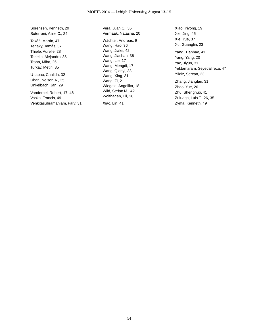Sorensen, Kenneth, [29](#page-29-0) Soterroni, Aline C., [24](#page-24-0)

Takáč, Martin, [47](#page-47-0) Terlaky, Tamás, [37](#page-37-0) Thiele, Aurelie, [28](#page-28-0) Toriello, Alejandro, [35](#page-35-0) Troha, Miha, [26](#page-26-0) Turkay, Metin, [35](#page-35-0)

U-tapao, Chalida, [32](#page-32-0) Uhan, Nelson A., [35](#page-35-0) Unkelbach, Jan, [29](#page-29-0)

Vanderbei, Robert, [17,](#page-17-0) [46](#page-46-0) Vasko, Francis, [49](#page-49-0) Venkitasubramaniam, Parv, [31](#page-31-0) Vera, Juan C., [35](#page-35-0) Vermaak, Natasha, [20](#page-20-0)

Wächter, Andreas, [9](#page-9-0) Wang, Hao, [36](#page-36-0) Wang, Jialei, [42](#page-42-0) Wang, Jiashan, [36](#page-36-0) Wang, Lie, [17](#page-17-0) Wang, Mengdi, [17](#page-17-0) Wang, Qianyi, [33](#page-33-0) Wang, Xing, [31](#page-31-0) Wang, Zi, [21](#page-21-0) Wiegele, Angelika, [18](#page-18-0) Wild, Stefan M., [42](#page-42-0) Wolfhagen, Eli, [38](#page-38-0)

Xiao, Lin, [41](#page-41-0)

Xiao, Yiyong, [19](#page-19-0) Xie, Jing, [45](#page-45-0) Xie, Yue, [37](#page-37-0) Xu, Guanglin, [23](#page-23-0)

Yang, Tianbao, [41](#page-41-0) Yang, Yang, [20](#page-20-0) Yao, Jiyun, [31](#page-31-0) Yektamaram, Seyedalireza, [47](#page-47-0) Yildiz, Sercan, [23](#page-23-0)

Zhang, Jiangfan, [31](#page-31-0) Zhao, Yue, [26](#page-26-0) Zhu, Shenghuo, [41](#page-41-0) Zuluaga, Luis F., [26,](#page-26-0) [35](#page-35-0) Zyma, Kenneth, [49](#page-49-0)